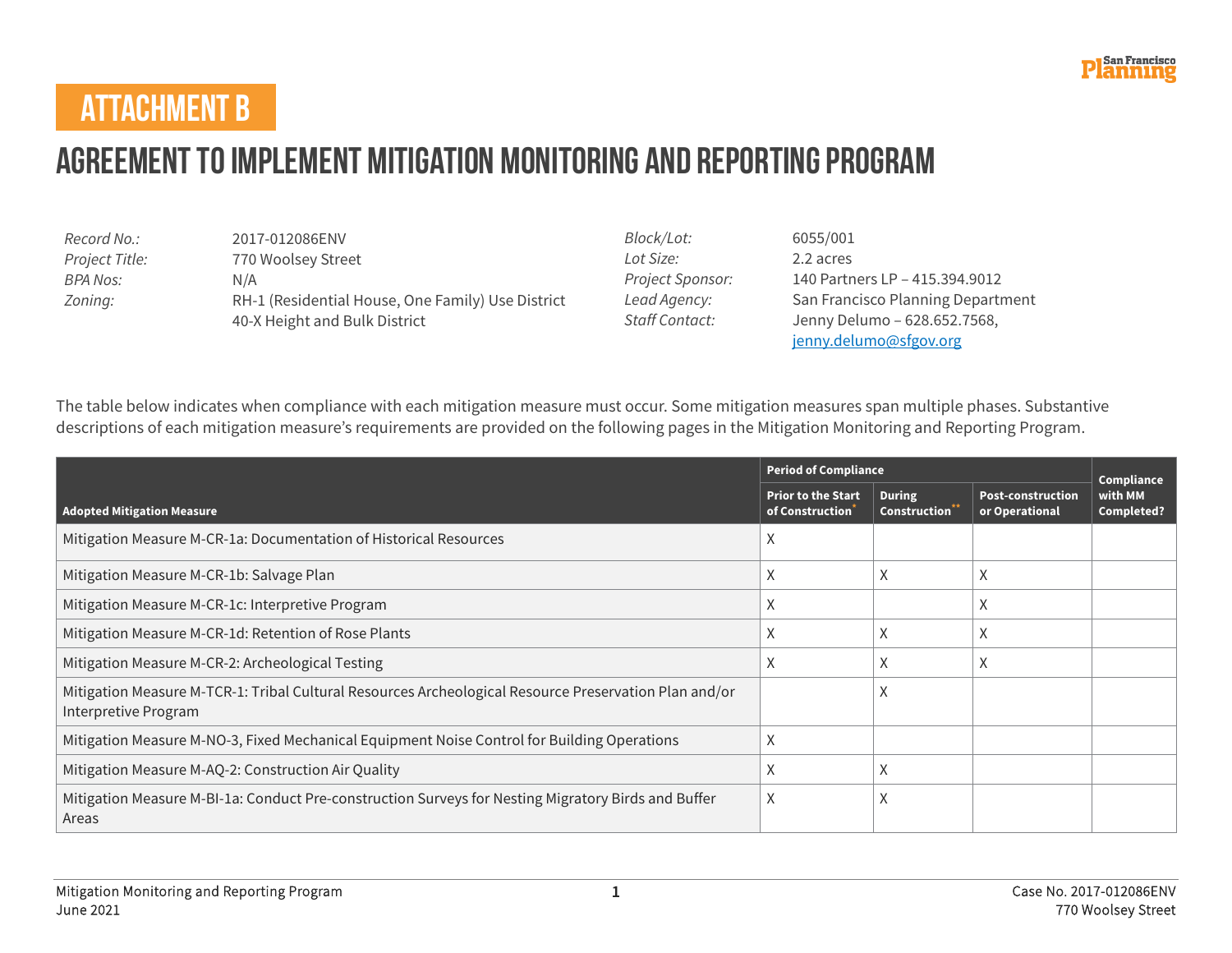

#### **ATTACHMENT B**

# **Agreement to Implement Mitigation Monitoring and Reporting Program**

| Record No.:    | 2017-012086ENV                                    |
|----------------|---------------------------------------------------|
| Project Title: | 770 Woolsey Street                                |
| BPA Nos:       | N/A                                               |
| Zoning:        | RH-1 (Residential House, One Family) Use District |
|                | 40-X Height and Bulk District                     |

*Block/Lot:* 6055/001 *Lot Size:* 2.2 acres

*Project Sponsor:* 140 Partners LP – 415.394.9012 *Lead Agency:* San Francisco Planning Department *Staff Contact:* Jenny Delumo – 628.652.7568, [jenny.delumo@sfgov.org](mailto:jenny.delumo@sfgov.org)

The table below indicates when compliance with each mitigation measure must occur. Some mitigation measures span multiple phases. Substantive descriptions of each mitigation measure's requirements are provided on the following pages in the Mitigation Monitoring and Reporting Program.

|                                                                                                                               |                                              | <b>Period of Compliance</b>          |                                            |                                     |  |
|-------------------------------------------------------------------------------------------------------------------------------|----------------------------------------------|--------------------------------------|--------------------------------------------|-------------------------------------|--|
| <b>Adopted Mitigation Measure</b>                                                                                             | <b>Prior to the Start</b><br>of Construction | <b>During</b><br><b>Construction</b> | <b>Post-construction</b><br>or Operational | Compliance<br>with MM<br>Completed? |  |
| Mitigation Measure M-CR-1a: Documentation of Historical Resources                                                             | X                                            |                                      |                                            |                                     |  |
| Mitigation Measure M-CR-1b: Salvage Plan                                                                                      | X                                            | X                                    | X                                          |                                     |  |
| Mitigation Measure M-CR-1c: Interpretive Program                                                                              | X                                            |                                      | X                                          |                                     |  |
| Mitigation Measure M-CR-1d: Retention of Rose Plants                                                                          | X                                            | X                                    | X                                          |                                     |  |
| Mitigation Measure M-CR-2: Archeological Testing                                                                              | X                                            | X                                    | X                                          |                                     |  |
| Mitigation Measure M-TCR-1: Tribal Cultural Resources Archeological Resource Preservation Plan and/or<br>Interpretive Program |                                              | v                                    |                                            |                                     |  |
| Mitigation Measure M-NO-3, Fixed Mechanical Equipment Noise Control for Building Operations                                   | X                                            |                                      |                                            |                                     |  |
| Mitigation Measure M-AQ-2: Construction Air Quality                                                                           | X                                            | Χ                                    |                                            |                                     |  |
| Mitigation Measure M-BI-1a: Conduct Pre-construction Surveys for Nesting Migratory Birds and Buffer<br>Areas                  | X                                            | л                                    |                                            |                                     |  |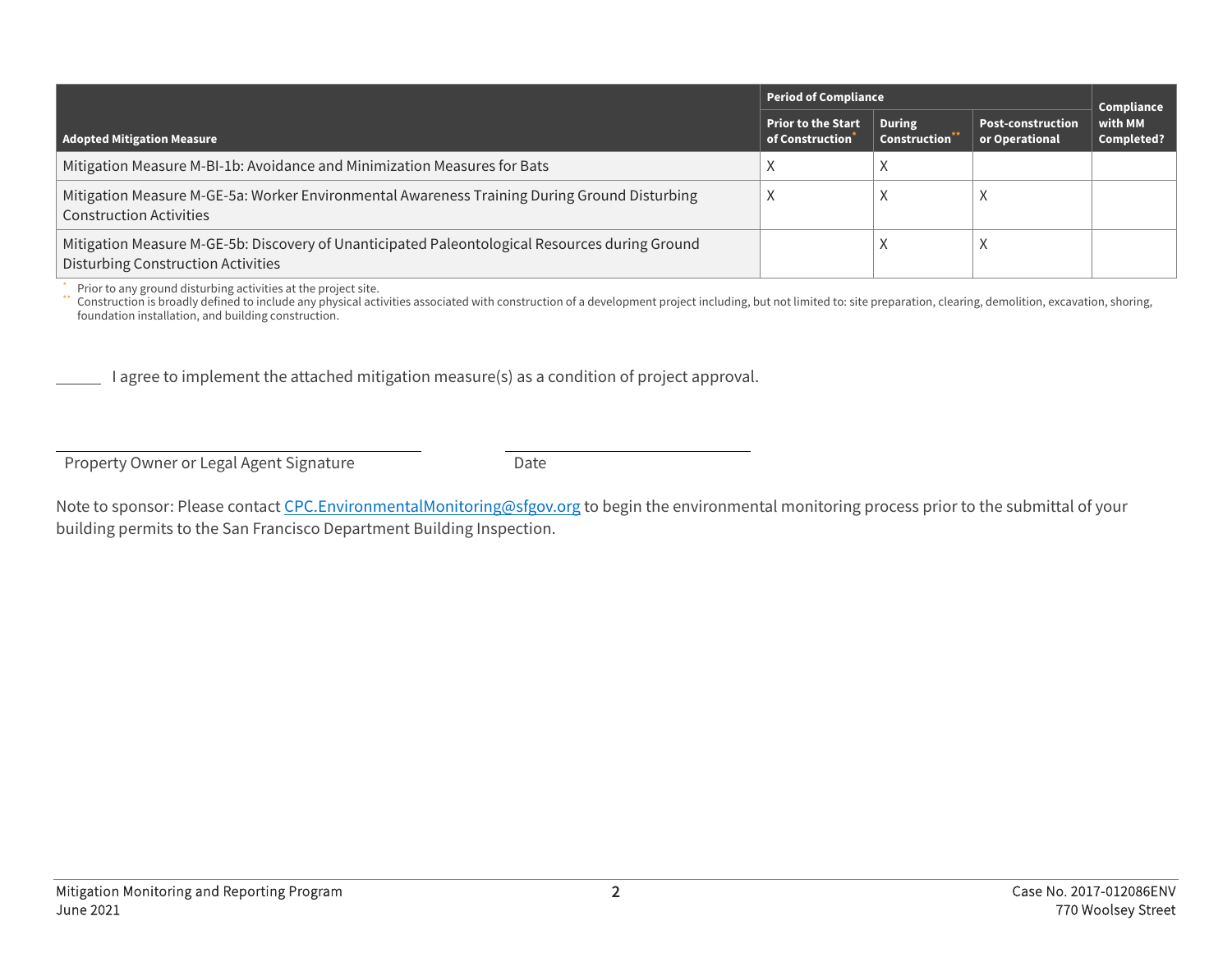|                                                                                                                                             | Period of Compliance                                      |                                            | Compliance                                 |                       |
|---------------------------------------------------------------------------------------------------------------------------------------------|-----------------------------------------------------------|--------------------------------------------|--------------------------------------------|-----------------------|
| Adopted Mitigation Measure                                                                                                                  | <b>Prior to the Start</b><br>of Construction <sup>*</sup> | <b>During</b><br>Construction <sup>*</sup> | <b>Post-construction</b><br>or Operational | with MM<br>Completed? |
| Mitigation Measure M-BI-1b: Avoidance and Minimization Measures for Bats                                                                    |                                                           |                                            |                                            |                       |
| Mitigation Measure M-GE-5a: Worker Environmental Awareness Training During Ground Disturbing<br><b>Construction Activities</b>              |                                                           |                                            |                                            |                       |
| Mitigation Measure M-GE-5b: Discovery of Unanticipated Paleontological Resources during Ground<br><b>Disturbing Construction Activities</b> |                                                           |                                            |                                            |                       |

\* Prior to any ground disturbing activities at the project site.<br>\*\* Construction is broadly defined to include any physical activities associated with construction of a development project including, but not limited to: si foundation installation, and building construction.

I agree to implement the attached mitigation measure(s) as a condition of project approval.

Property Owner or Legal Agent Signature Date

Note to sponsor: Please contact [CPC.EnvironmentalMonitoring@sfgov.org](mailto:CPC.EnvironmentalMonitoring@sfgov.org) to begin the environmental monitoring process prior to the submittal of your building permits to the San Francisco Department Building Inspection.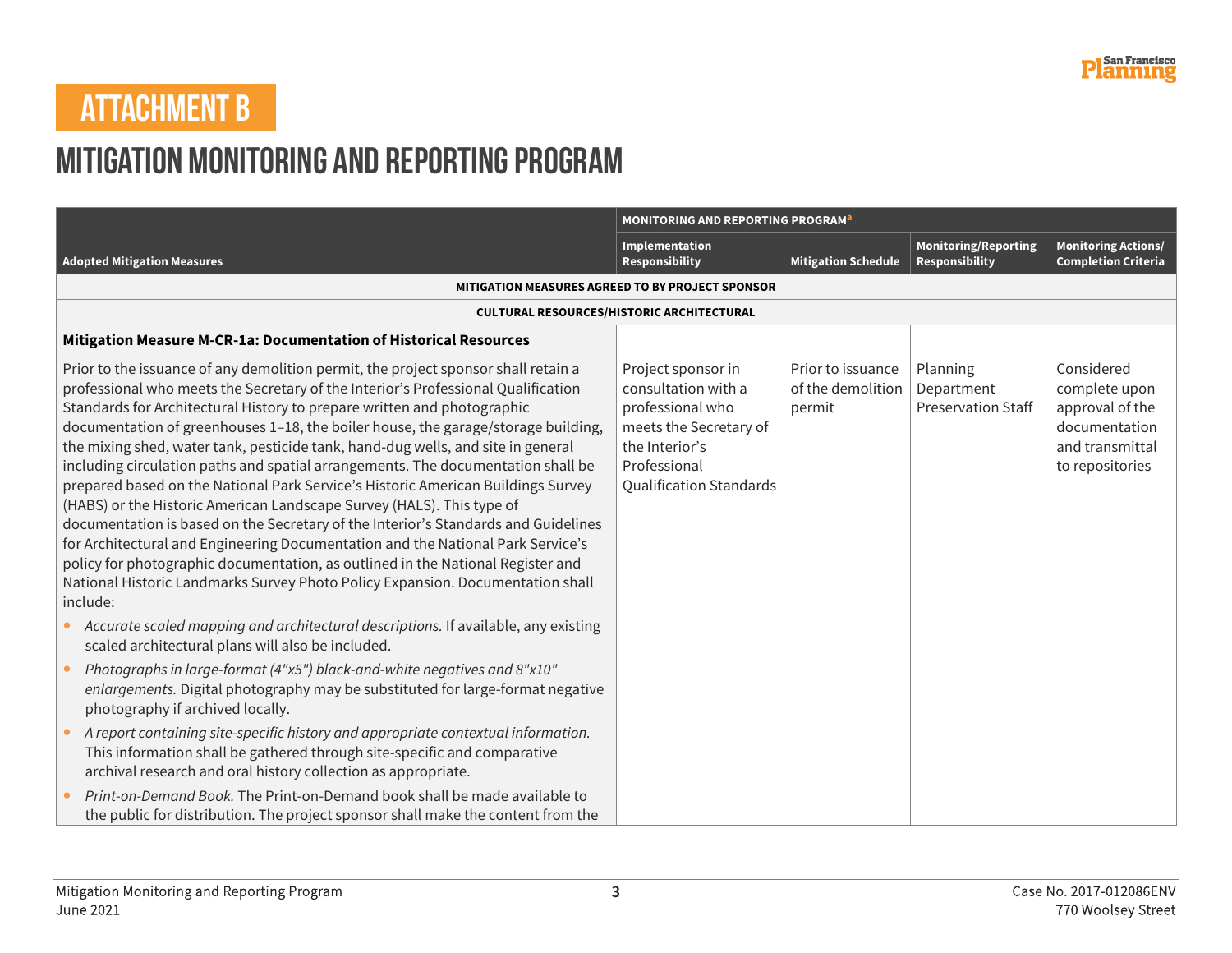## **ATTACHMENT B**

### **Mitigation Monitoring and Reporting Program**

|                                                                                                                                                                                                                                                                                                                                                                                                                                                                                                                                                                                                                                                                                                                                                                                                                                                                                                                                                                                                                                        | MONITORING AND REPORTING PROGRAM <sup>a</sup>                                                                                                               |                                                  |                                                      |                                                                                                       |
|----------------------------------------------------------------------------------------------------------------------------------------------------------------------------------------------------------------------------------------------------------------------------------------------------------------------------------------------------------------------------------------------------------------------------------------------------------------------------------------------------------------------------------------------------------------------------------------------------------------------------------------------------------------------------------------------------------------------------------------------------------------------------------------------------------------------------------------------------------------------------------------------------------------------------------------------------------------------------------------------------------------------------------------|-------------------------------------------------------------------------------------------------------------------------------------------------------------|--------------------------------------------------|------------------------------------------------------|-------------------------------------------------------------------------------------------------------|
| <b>Adopted Mitigation Measures</b>                                                                                                                                                                                                                                                                                                                                                                                                                                                                                                                                                                                                                                                                                                                                                                                                                                                                                                                                                                                                     | Implementation<br><b>Responsibility</b>                                                                                                                     | <b>Mitigation Schedule</b>                       | <b>Monitoring/Reporting</b><br><b>Responsibility</b> | <b>Monitoring Actions/</b><br><b>Completion Criteria</b>                                              |
|                                                                                                                                                                                                                                                                                                                                                                                                                                                                                                                                                                                                                                                                                                                                                                                                                                                                                                                                                                                                                                        | MITIGATION MEASURES AGREED TO BY PROJECT SPONSOR                                                                                                            |                                                  |                                                      |                                                                                                       |
|                                                                                                                                                                                                                                                                                                                                                                                                                                                                                                                                                                                                                                                                                                                                                                                                                                                                                                                                                                                                                                        | <b>CULTURAL RESOURCES/HISTORIC ARCHITECTURAL</b>                                                                                                            |                                                  |                                                      |                                                                                                       |
| Mitigation Measure M-CR-1a: Documentation of Historical Resources                                                                                                                                                                                                                                                                                                                                                                                                                                                                                                                                                                                                                                                                                                                                                                                                                                                                                                                                                                      |                                                                                                                                                             |                                                  |                                                      |                                                                                                       |
| Prior to the issuance of any demolition permit, the project sponsor shall retain a<br>professional who meets the Secretary of the Interior's Professional Qualification<br>Standards for Architectural History to prepare written and photographic<br>documentation of greenhouses 1-18, the boiler house, the garage/storage building,<br>the mixing shed, water tank, pesticide tank, hand-dug wells, and site in general<br>including circulation paths and spatial arrangements. The documentation shall be<br>prepared based on the National Park Service's Historic American Buildings Survey<br>(HABS) or the Historic American Landscape Survey (HALS). This type of<br>documentation is based on the Secretary of the Interior's Standards and Guidelines<br>for Architectural and Engineering Documentation and the National Park Service's<br>policy for photographic documentation, as outlined in the National Register and<br>National Historic Landmarks Survey Photo Policy Expansion. Documentation shall<br>include: | Project sponsor in<br>consultation with a<br>professional who<br>meets the Secretary of<br>the Interior's<br>Professional<br><b>Qualification Standards</b> | Prior to issuance<br>of the demolition<br>permit | Planning<br>Department<br><b>Preservation Staff</b>  | Considered<br>complete upon<br>approval of the<br>documentation<br>and transmittal<br>to repositories |
| Accurate scaled mapping and architectural descriptions. If available, any existing<br>scaled architectural plans will also be included.                                                                                                                                                                                                                                                                                                                                                                                                                                                                                                                                                                                                                                                                                                                                                                                                                                                                                                |                                                                                                                                                             |                                                  |                                                      |                                                                                                       |
| Photographs in large-format (4"x5") black-and-white negatives and 8"x10"<br>enlargements. Digital photography may be substituted for large-format negative<br>photography if archived locally.                                                                                                                                                                                                                                                                                                                                                                                                                                                                                                                                                                                                                                                                                                                                                                                                                                         |                                                                                                                                                             |                                                  |                                                      |                                                                                                       |
| A report containing site-specific history and appropriate contextual information.<br>This information shall be gathered through site-specific and comparative<br>archival research and oral history collection as appropriate.                                                                                                                                                                                                                                                                                                                                                                                                                                                                                                                                                                                                                                                                                                                                                                                                         |                                                                                                                                                             |                                                  |                                                      |                                                                                                       |
| Print-on-Demand Book. The Print-on-Demand book shall be made available to<br>the public for distribution. The project sponsor shall make the content from the                                                                                                                                                                                                                                                                                                                                                                                                                                                                                                                                                                                                                                                                                                                                                                                                                                                                          |                                                                                                                                                             |                                                  |                                                      |                                                                                                       |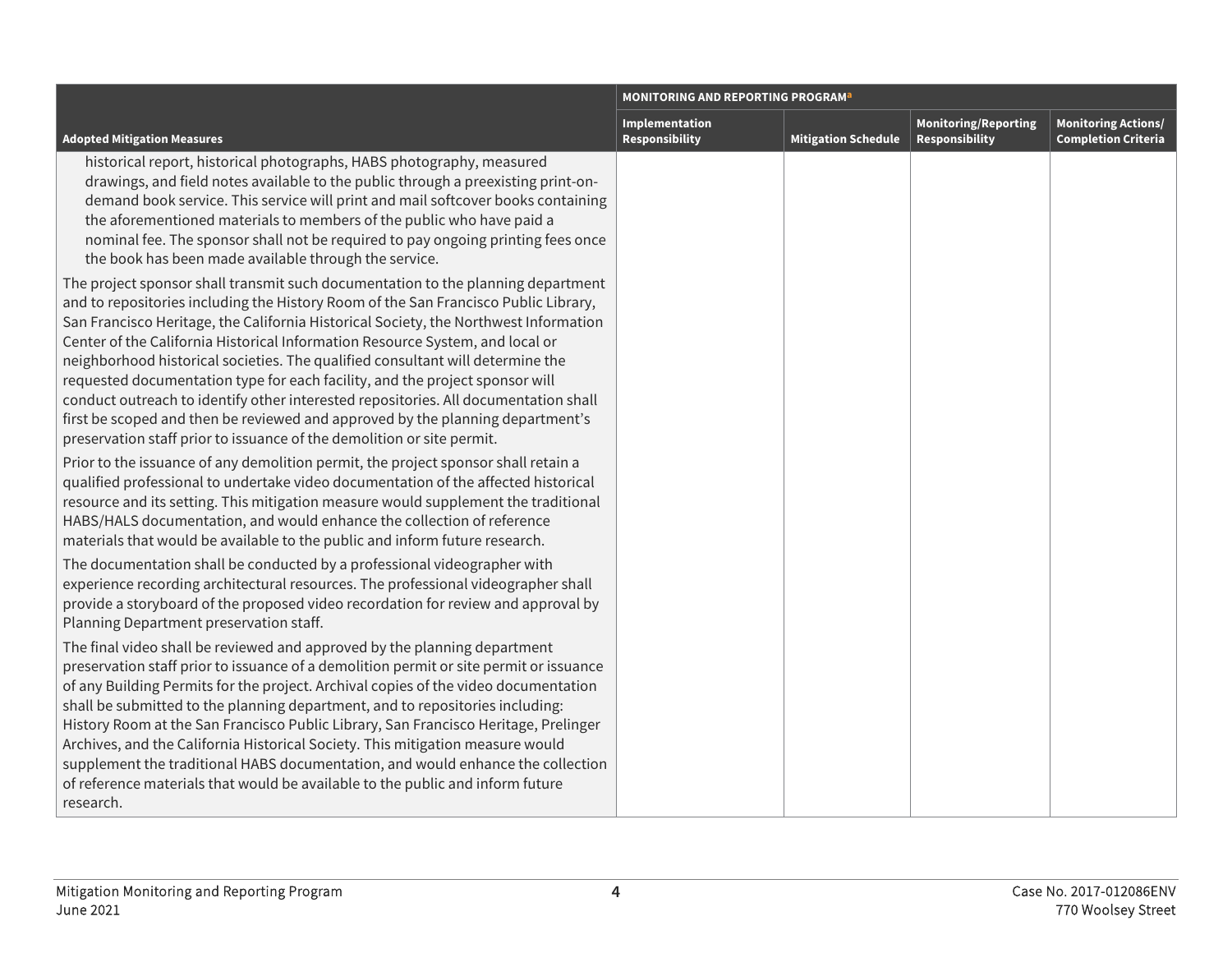|                                                                                                                                                                                                                                                                                                                                                                                                                                                                                                                                                                                                                                                                                                                                                                                                                                                                                                                                                                                                                                         | <b>MONITORING AND REPORTING PROGRAM</b> <sup>a</sup> |                            |                                               |                                                          |  |
|-----------------------------------------------------------------------------------------------------------------------------------------------------------------------------------------------------------------------------------------------------------------------------------------------------------------------------------------------------------------------------------------------------------------------------------------------------------------------------------------------------------------------------------------------------------------------------------------------------------------------------------------------------------------------------------------------------------------------------------------------------------------------------------------------------------------------------------------------------------------------------------------------------------------------------------------------------------------------------------------------------------------------------------------|------------------------------------------------------|----------------------------|-----------------------------------------------|----------------------------------------------------------|--|
| <b>Adopted Mitigation Measures</b>                                                                                                                                                                                                                                                                                                                                                                                                                                                                                                                                                                                                                                                                                                                                                                                                                                                                                                                                                                                                      | Implementation<br><b>Responsibility</b>              | <b>Mitigation Schedule</b> | <b>Monitoring/Reporting</b><br>Responsibility | <b>Monitoring Actions/</b><br><b>Completion Criteria</b> |  |
| historical report, historical photographs, HABS photography, measured<br>drawings, and field notes available to the public through a preexisting print-on-<br>demand book service. This service will print and mail softcover books containing<br>the aforementioned materials to members of the public who have paid a<br>nominal fee. The sponsor shall not be required to pay ongoing printing fees once<br>the book has been made available through the service.                                                                                                                                                                                                                                                                                                                                                                                                                                                                                                                                                                    |                                                      |                            |                                               |                                                          |  |
| The project sponsor shall transmit such documentation to the planning department<br>and to repositories including the History Room of the San Francisco Public Library,<br>San Francisco Heritage, the California Historical Society, the Northwest Information<br>Center of the California Historical Information Resource System, and local or<br>neighborhood historical societies. The qualified consultant will determine the<br>requested documentation type for each facility, and the project sponsor will<br>conduct outreach to identify other interested repositories. All documentation shall<br>first be scoped and then be reviewed and approved by the planning department's<br>preservation staff prior to issuance of the demolition or site permit.<br>Prior to the issuance of any demolition permit, the project sponsor shall retain a<br>qualified professional to undertake video documentation of the affected historical<br>resource and its setting. This mitigation measure would supplement the traditional |                                                      |                            |                                               |                                                          |  |
| HABS/HALS documentation, and would enhance the collection of reference<br>materials that would be available to the public and inform future research.<br>The documentation shall be conducted by a professional videographer with<br>experience recording architectural resources. The professional videographer shall<br>provide a storyboard of the proposed video recordation for review and approval by<br>Planning Department preservation staff.                                                                                                                                                                                                                                                                                                                                                                                                                                                                                                                                                                                  |                                                      |                            |                                               |                                                          |  |
| The final video shall be reviewed and approved by the planning department<br>preservation staff prior to issuance of a demolition permit or site permit or issuance<br>of any Building Permits for the project. Archival copies of the video documentation<br>shall be submitted to the planning department, and to repositories including:<br>History Room at the San Francisco Public Library, San Francisco Heritage, Prelinger<br>Archives, and the California Historical Society. This mitigation measure would<br>supplement the traditional HABS documentation, and would enhance the collection<br>of reference materials that would be available to the public and inform future<br>research.                                                                                                                                                                                                                                                                                                                                  |                                                      |                            |                                               |                                                          |  |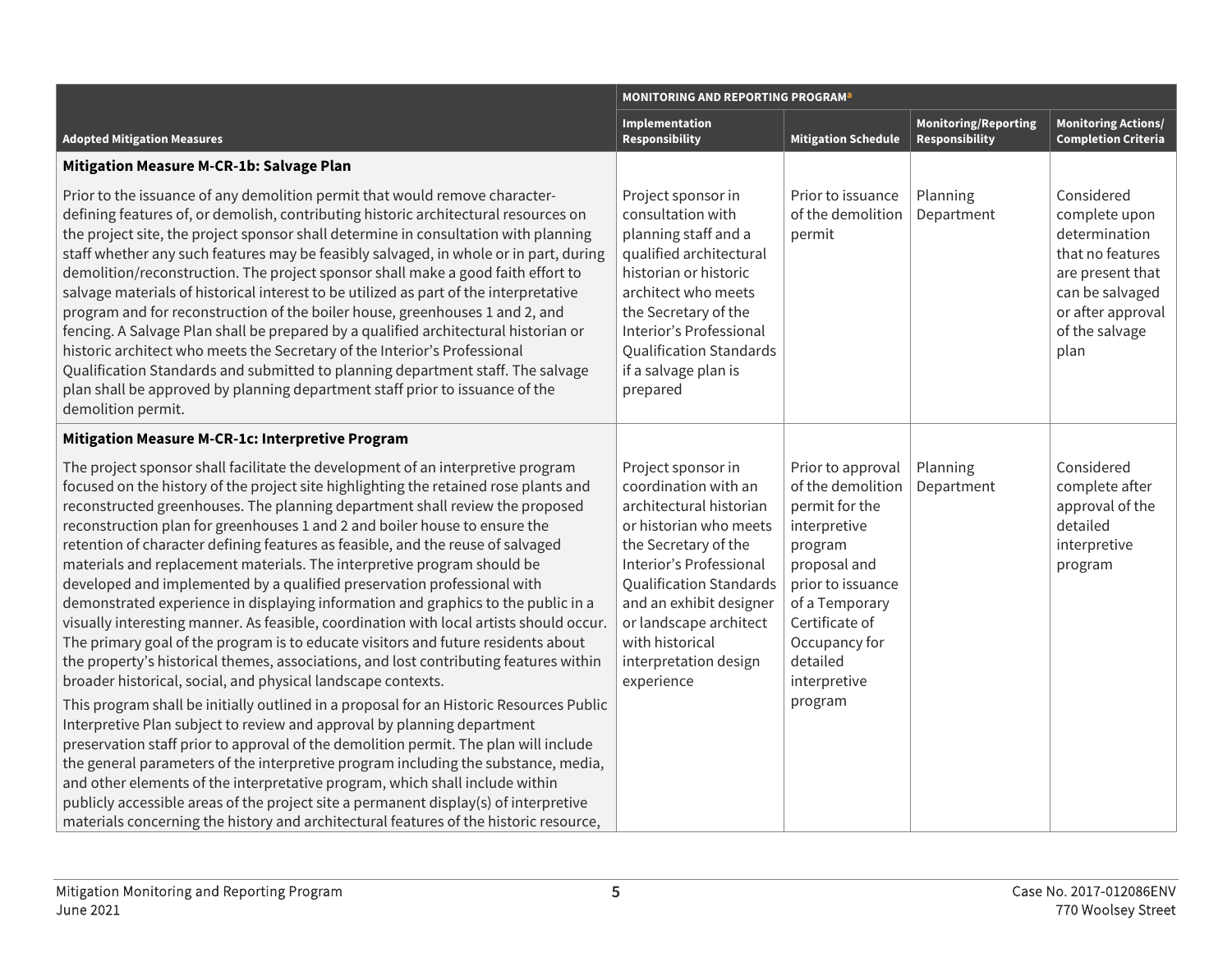|                                                                                                                                                                                                                                                                                                                                                                                                                                                                                                                                                                                                                                                                                                                                                                                                                                                                                                                                                                                                                                                                                                                                                                                                                                                                                                                                                                  | <b>MONITORING AND REPORTING PROGRAM<sup>a</sup></b>                                                                                                                                                                                                                                                 |                                                                                                                                                                                                                      |                                                      |                                                                                                                                                        |
|------------------------------------------------------------------------------------------------------------------------------------------------------------------------------------------------------------------------------------------------------------------------------------------------------------------------------------------------------------------------------------------------------------------------------------------------------------------------------------------------------------------------------------------------------------------------------------------------------------------------------------------------------------------------------------------------------------------------------------------------------------------------------------------------------------------------------------------------------------------------------------------------------------------------------------------------------------------------------------------------------------------------------------------------------------------------------------------------------------------------------------------------------------------------------------------------------------------------------------------------------------------------------------------------------------------------------------------------------------------|-----------------------------------------------------------------------------------------------------------------------------------------------------------------------------------------------------------------------------------------------------------------------------------------------------|----------------------------------------------------------------------------------------------------------------------------------------------------------------------------------------------------------------------|------------------------------------------------------|--------------------------------------------------------------------------------------------------------------------------------------------------------|
| <b>Adopted Mitigation Measures</b>                                                                                                                                                                                                                                                                                                                                                                                                                                                                                                                                                                                                                                                                                                                                                                                                                                                                                                                                                                                                                                                                                                                                                                                                                                                                                                                               | Implementation<br><b>Responsibility</b>                                                                                                                                                                                                                                                             | <b>Mitigation Schedule</b>                                                                                                                                                                                           | <b>Monitoring/Reporting</b><br><b>Responsibility</b> | <b>Monitoring Actions/</b><br><b>Completion Criteria</b>                                                                                               |
| Mitigation Measure M-CR-1b: Salvage Plan                                                                                                                                                                                                                                                                                                                                                                                                                                                                                                                                                                                                                                                                                                                                                                                                                                                                                                                                                                                                                                                                                                                                                                                                                                                                                                                         |                                                                                                                                                                                                                                                                                                     |                                                                                                                                                                                                                      |                                                      |                                                                                                                                                        |
| Prior to the issuance of any demolition permit that would remove character-<br>defining features of, or demolish, contributing historic architectural resources on<br>the project site, the project sponsor shall determine in consultation with planning<br>staff whether any such features may be feasibly salvaged, in whole or in part, during<br>demolition/reconstruction. The project sponsor shall make a good faith effort to<br>salvage materials of historical interest to be utilized as part of the interpretative<br>program and for reconstruction of the boiler house, greenhouses 1 and 2, and<br>fencing. A Salvage Plan shall be prepared by a qualified architectural historian or<br>historic architect who meets the Secretary of the Interior's Professional<br>Qualification Standards and submitted to planning department staff. The salvage<br>plan shall be approved by planning department staff prior to issuance of the<br>demolition permit.                                                                                                                                                                                                                                                                                                                                                                                     | Project sponsor in<br>consultation with<br>planning staff and a<br>qualified architectural<br>historian or historic<br>architect who meets<br>the Secretary of the<br>Interior's Professional<br><b>Qualification Standards</b><br>if a salvage plan is<br>prepared                                 | Prior to issuance<br>of the demolition<br>permit                                                                                                                                                                     | Planning<br>Department                               | Considered<br>complete upon<br>determination<br>that no features<br>are present that<br>can be salvaged<br>or after approval<br>of the salvage<br>plan |
| Mitigation Measure M-CR-1c: Interpretive Program                                                                                                                                                                                                                                                                                                                                                                                                                                                                                                                                                                                                                                                                                                                                                                                                                                                                                                                                                                                                                                                                                                                                                                                                                                                                                                                 |                                                                                                                                                                                                                                                                                                     |                                                                                                                                                                                                                      |                                                      |                                                                                                                                                        |
| The project sponsor shall facilitate the development of an interpretive program<br>focused on the history of the project site highlighting the retained rose plants and<br>reconstructed greenhouses. The planning department shall review the proposed<br>reconstruction plan for greenhouses 1 and 2 and boiler house to ensure the<br>retention of character defining features as feasible, and the reuse of salvaged<br>materials and replacement materials. The interpretive program should be<br>developed and implemented by a qualified preservation professional with<br>demonstrated experience in displaying information and graphics to the public in a<br>visually interesting manner. As feasible, coordination with local artists should occur.<br>The primary goal of the program is to educate visitors and future residents about<br>the property's historical themes, associations, and lost contributing features within<br>broader historical, social, and physical landscape contexts.<br>This program shall be initially outlined in a proposal for an Historic Resources Public<br>Interpretive Plan subject to review and approval by planning department<br>preservation staff prior to approval of the demolition permit. The plan will include<br>the general parameters of the interpretive program including the substance, media, | Project sponsor in<br>coordination with an<br>architectural historian<br>or historian who meets<br>the Secretary of the<br>Interior's Professional<br><b>Qualification Standards</b><br>and an exhibit designer<br>or landscape architect<br>with historical<br>interpretation design<br>experience | Prior to approval<br>of the demolition<br>permit for the<br>interpretive<br>program<br>proposal and<br>prior to issuance<br>of a Temporary<br>Certificate of<br>Occupancy for<br>detailed<br>interpretive<br>program | Planning<br>Department                               | Considered<br>complete after<br>approval of the<br>detailed<br>interpretive<br>program                                                                 |
| and other elements of the interpretative program, which shall include within<br>publicly accessible areas of the project site a permanent display(s) of interpretive<br>materials concerning the history and architectural features of the historic resource,                                                                                                                                                                                                                                                                                                                                                                                                                                                                                                                                                                                                                                                                                                                                                                                                                                                                                                                                                                                                                                                                                                    |                                                                                                                                                                                                                                                                                                     |                                                                                                                                                                                                                      |                                                      |                                                                                                                                                        |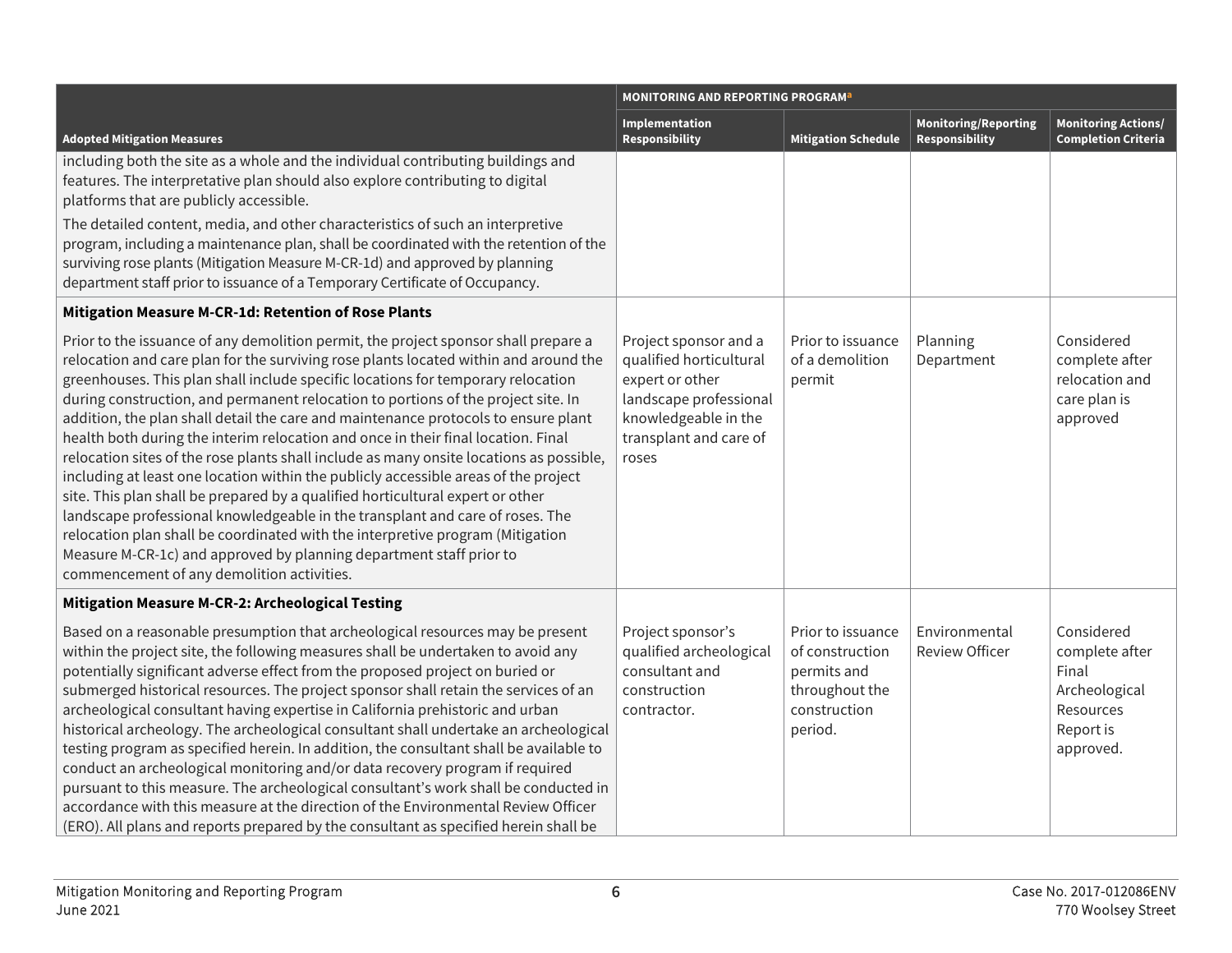|                                                                                                                                                                                                                                                                                                                                                                                                                                                                                                                                                                                                                                                                                                                                                                                                                                                                                                                                                                                                                                                                                             | <b>MONITORING AND REPORTING PROGRAM<sup>a</sup></b>                                                                                                      |                                                                                                  |                                                      |                                                                                               |
|---------------------------------------------------------------------------------------------------------------------------------------------------------------------------------------------------------------------------------------------------------------------------------------------------------------------------------------------------------------------------------------------------------------------------------------------------------------------------------------------------------------------------------------------------------------------------------------------------------------------------------------------------------------------------------------------------------------------------------------------------------------------------------------------------------------------------------------------------------------------------------------------------------------------------------------------------------------------------------------------------------------------------------------------------------------------------------------------|----------------------------------------------------------------------------------------------------------------------------------------------------------|--------------------------------------------------------------------------------------------------|------------------------------------------------------|-----------------------------------------------------------------------------------------------|
| <b>Adopted Mitigation Measures</b>                                                                                                                                                                                                                                                                                                                                                                                                                                                                                                                                                                                                                                                                                                                                                                                                                                                                                                                                                                                                                                                          | Implementation<br>Responsibility                                                                                                                         | <b>Mitigation Schedule</b>                                                                       | <b>Monitoring/Reporting</b><br><b>Responsibility</b> | <b>Monitoring Actions/</b><br><b>Completion Criteria</b>                                      |
| including both the site as a whole and the individual contributing buildings and<br>features. The interpretative plan should also explore contributing to digital<br>platforms that are publicly accessible.                                                                                                                                                                                                                                                                                                                                                                                                                                                                                                                                                                                                                                                                                                                                                                                                                                                                                |                                                                                                                                                          |                                                                                                  |                                                      |                                                                                               |
| The detailed content, media, and other characteristics of such an interpretive<br>program, including a maintenance plan, shall be coordinated with the retention of the<br>surviving rose plants (Mitigation Measure M-CR-1d) and approved by planning<br>department staff prior to issuance of a Temporary Certificate of Occupancy.                                                                                                                                                                                                                                                                                                                                                                                                                                                                                                                                                                                                                                                                                                                                                       |                                                                                                                                                          |                                                                                                  |                                                      |                                                                                               |
| Mitigation Measure M-CR-1d: Retention of Rose Plants                                                                                                                                                                                                                                                                                                                                                                                                                                                                                                                                                                                                                                                                                                                                                                                                                                                                                                                                                                                                                                        |                                                                                                                                                          |                                                                                                  |                                                      |                                                                                               |
| Prior to the issuance of any demolition permit, the project sponsor shall prepare a<br>relocation and care plan for the surviving rose plants located within and around the<br>greenhouses. This plan shall include specific locations for temporary relocation<br>during construction, and permanent relocation to portions of the project site. In<br>addition, the plan shall detail the care and maintenance protocols to ensure plant<br>health both during the interim relocation and once in their final location. Final<br>relocation sites of the rose plants shall include as many onsite locations as possible,<br>including at least one location within the publicly accessible areas of the project<br>site. This plan shall be prepared by a qualified horticultural expert or other<br>landscape professional knowledgeable in the transplant and care of roses. The<br>relocation plan shall be coordinated with the interpretive program (Mitigation<br>Measure M-CR-1c) and approved by planning department staff prior to<br>commencement of any demolition activities. | Project sponsor and a<br>qualified horticultural<br>expert or other<br>landscape professional<br>knowledgeable in the<br>transplant and care of<br>roses | Prior to issuance<br>of a demolition<br>permit                                                   | Planning<br>Department                               | Considered<br>complete after<br>relocation and<br>care plan is<br>approved                    |
| <b>Mitigation Measure M-CR-2: Archeological Testing</b>                                                                                                                                                                                                                                                                                                                                                                                                                                                                                                                                                                                                                                                                                                                                                                                                                                                                                                                                                                                                                                     |                                                                                                                                                          |                                                                                                  |                                                      |                                                                                               |
| Based on a reasonable presumption that archeological resources may be present<br>within the project site, the following measures shall be undertaken to avoid any<br>potentially significant adverse effect from the proposed project on buried or<br>submerged historical resources. The project sponsor shall retain the services of an<br>archeological consultant having expertise in California prehistoric and urban<br>historical archeology. The archeological consultant shall undertake an archeological<br>testing program as specified herein. In addition, the consultant shall be available to<br>conduct an archeological monitoring and/or data recovery program if required<br>pursuant to this measure. The archeological consultant's work shall be conducted in<br>accordance with this measure at the direction of the Environmental Review Officer<br>(ERO). All plans and reports prepared by the consultant as specified herein shall be                                                                                                                            | Project sponsor's<br>qualified archeological<br>consultant and<br>construction<br>contractor.                                                            | Prior to issuance<br>of construction<br>permits and<br>throughout the<br>construction<br>period. | Environmental<br><b>Review Officer</b>               | Considered<br>complete after<br>Final<br>Archeological<br>Resources<br>Report is<br>approved. |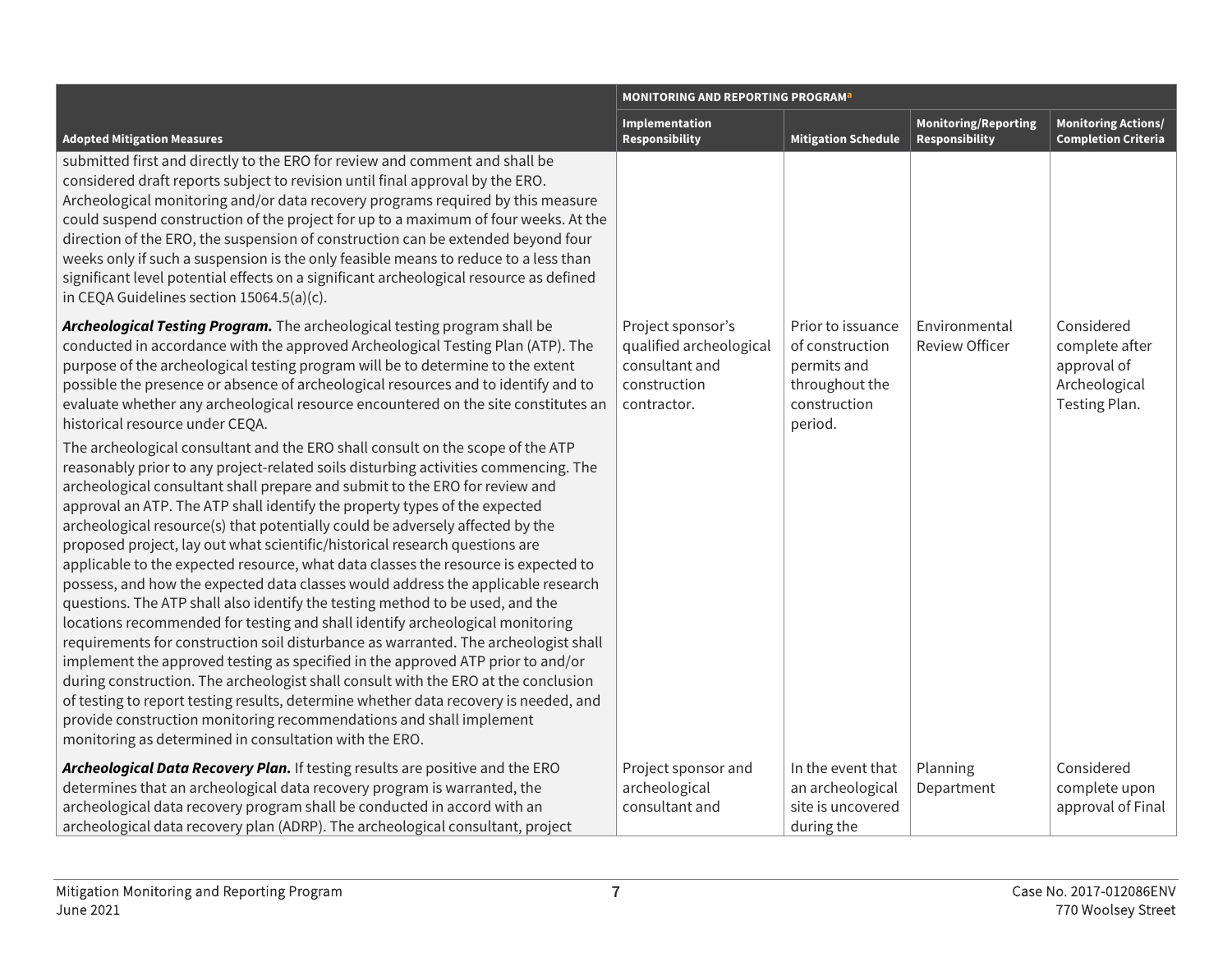|                                                                                                                                                                                                                                                                                                                                                                                                                                                                                                                                                                                                                                                                                                                                                                                                                                                                                                                                                                                                                                                                                                                                                                                                                                                                                                                                                                                                                                                                                                                                                                                                                                                                                                                                                                                                           | <b>MONITORING AND REPORTING PROGRAM<sup>a</sup></b>                                           |                                                                                                  |                                               |                                                                               |
|-----------------------------------------------------------------------------------------------------------------------------------------------------------------------------------------------------------------------------------------------------------------------------------------------------------------------------------------------------------------------------------------------------------------------------------------------------------------------------------------------------------------------------------------------------------------------------------------------------------------------------------------------------------------------------------------------------------------------------------------------------------------------------------------------------------------------------------------------------------------------------------------------------------------------------------------------------------------------------------------------------------------------------------------------------------------------------------------------------------------------------------------------------------------------------------------------------------------------------------------------------------------------------------------------------------------------------------------------------------------------------------------------------------------------------------------------------------------------------------------------------------------------------------------------------------------------------------------------------------------------------------------------------------------------------------------------------------------------------------------------------------------------------------------------------------|-----------------------------------------------------------------------------------------------|--------------------------------------------------------------------------------------------------|-----------------------------------------------|-------------------------------------------------------------------------------|
| <b>Adopted Mitigation Measures</b>                                                                                                                                                                                                                                                                                                                                                                                                                                                                                                                                                                                                                                                                                                                                                                                                                                                                                                                                                                                                                                                                                                                                                                                                                                                                                                                                                                                                                                                                                                                                                                                                                                                                                                                                                                        | <b>Implementation</b><br><b>Responsibility</b>                                                | <b>Mitigation Schedule</b>                                                                       | <b>Monitoring/Reporting</b><br>Responsibility | <b>Monitoring Actions/</b><br><b>Completion Criteria</b>                      |
| submitted first and directly to the ERO for review and comment and shall be<br>considered draft reports subject to revision until final approval by the ERO.<br>Archeological monitoring and/or data recovery programs required by this measure<br>could suspend construction of the project for up to a maximum of four weeks. At the<br>direction of the ERO, the suspension of construction can be extended beyond four<br>weeks only if such a suspension is the only feasible means to reduce to a less than<br>significant level potential effects on a significant archeological resource as defined<br>in CEQA Guidelines section 15064.5(a)(c).                                                                                                                                                                                                                                                                                                                                                                                                                                                                                                                                                                                                                                                                                                                                                                                                                                                                                                                                                                                                                                                                                                                                                  |                                                                                               |                                                                                                  |                                               |                                                                               |
| Archeological Testing Program. The archeological testing program shall be<br>conducted in accordance with the approved Archeological Testing Plan (ATP). The<br>purpose of the archeological testing program will be to determine to the extent<br>possible the presence or absence of archeological resources and to identify and to<br>evaluate whether any archeological resource encountered on the site constitutes an<br>historical resource under CEQA.<br>The archeological consultant and the ERO shall consult on the scope of the ATP<br>reasonably prior to any project-related soils disturbing activities commencing. The<br>archeological consultant shall prepare and submit to the ERO for review and<br>approval an ATP. The ATP shall identify the property types of the expected<br>archeological resource(s) that potentially could be adversely affected by the<br>proposed project, lay out what scientific/historical research questions are<br>applicable to the expected resource, what data classes the resource is expected to<br>possess, and how the expected data classes would address the applicable research<br>questions. The ATP shall also identify the testing method to be used, and the<br>locations recommended for testing and shall identify archeological monitoring<br>requirements for construction soil disturbance as warranted. The archeologist shall<br>implement the approved testing as specified in the approved ATP prior to and/or<br>during construction. The archeologist shall consult with the ERO at the conclusion<br>of testing to report testing results, determine whether data recovery is needed, and<br>provide construction monitoring recommendations and shall implement<br>monitoring as determined in consultation with the ERO. | Project sponsor's<br>qualified archeological<br>consultant and<br>construction<br>contractor. | Prior to issuance<br>of construction<br>permits and<br>throughout the<br>construction<br>period. | Environmental<br><b>Review Officer</b>        | Considered<br>complete after<br>approval of<br>Archeological<br>Testing Plan. |
| Archeological Data Recovery Plan. If testing results are positive and the ERO<br>determines that an archeological data recovery program is warranted, the<br>archeological data recovery program shall be conducted in accord with an<br>archeological data recovery plan (ADRP). The archeological consultant, project                                                                                                                                                                                                                                                                                                                                                                                                                                                                                                                                                                                                                                                                                                                                                                                                                                                                                                                                                                                                                                                                                                                                                                                                                                                                                                                                                                                                                                                                                   | Project sponsor and<br>archeological<br>consultant and                                        | In the event that<br>an archeological<br>site is uncovered<br>during the                         | Planning<br>Department                        | Considered<br>complete upon<br>approval of Final                              |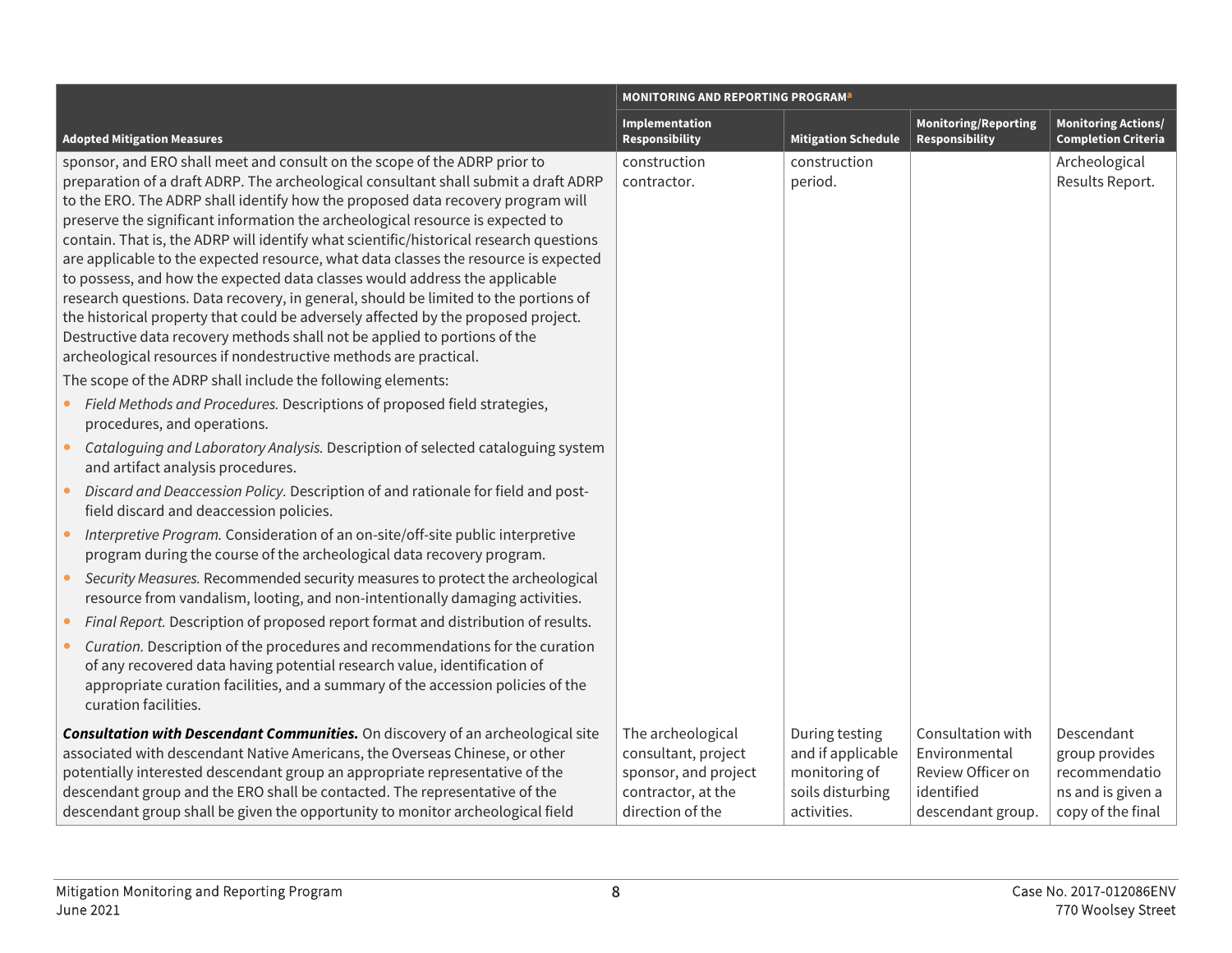|           |                                                                                                                                                                                                                                                                                                                                                                                                                                                                                                                                                                                                                                                                                                                                                                                                                                                                                                                                                                                                  | <b>MONITORING AND REPORTING PROGRAM<sup>a</sup></b>                                                        |                                                                                         |                                                                                            |                                                                                         |
|-----------|--------------------------------------------------------------------------------------------------------------------------------------------------------------------------------------------------------------------------------------------------------------------------------------------------------------------------------------------------------------------------------------------------------------------------------------------------------------------------------------------------------------------------------------------------------------------------------------------------------------------------------------------------------------------------------------------------------------------------------------------------------------------------------------------------------------------------------------------------------------------------------------------------------------------------------------------------------------------------------------------------|------------------------------------------------------------------------------------------------------------|-----------------------------------------------------------------------------------------|--------------------------------------------------------------------------------------------|-----------------------------------------------------------------------------------------|
|           | <b>Adopted Mitigation Measures</b>                                                                                                                                                                                                                                                                                                                                                                                                                                                                                                                                                                                                                                                                                                                                                                                                                                                                                                                                                               | Implementation<br><b>Responsibility</b>                                                                    | <b>Mitigation Schedule</b>                                                              | <b>Monitoring/Reporting</b><br>Responsibility                                              | <b>Monitoring Actions/</b><br><b>Completion Criteria</b>                                |
|           | sponsor, and ERO shall meet and consult on the scope of the ADRP prior to<br>preparation of a draft ADRP. The archeological consultant shall submit a draft ADRP<br>to the ERO. The ADRP shall identify how the proposed data recovery program will<br>preserve the significant information the archeological resource is expected to<br>contain. That is, the ADRP will identify what scientific/historical research questions<br>are applicable to the expected resource, what data classes the resource is expected<br>to possess, and how the expected data classes would address the applicable<br>research questions. Data recovery, in general, should be limited to the portions of<br>the historical property that could be adversely affected by the proposed project.<br>Destructive data recovery methods shall not be applied to portions of the<br>archeological resources if nondestructive methods are practical.<br>The scope of the ADRP shall include the following elements: | construction<br>contractor.                                                                                | construction<br>period.                                                                 |                                                                                            | Archeological<br>Results Report.                                                        |
| $\bullet$ | Field Methods and Procedures. Descriptions of proposed field strategies,<br>procedures, and operations.<br>Cataloguing and Laboratory Analysis. Description of selected cataloguing system                                                                                                                                                                                                                                                                                                                                                                                                                                                                                                                                                                                                                                                                                                                                                                                                       |                                                                                                            |                                                                                         |                                                                                            |                                                                                         |
| $\bullet$ | and artifact analysis procedures.<br>Discard and Deaccession Policy. Description of and rationale for field and post-<br>field discard and deaccession policies.                                                                                                                                                                                                                                                                                                                                                                                                                                                                                                                                                                                                                                                                                                                                                                                                                                 |                                                                                                            |                                                                                         |                                                                                            |                                                                                         |
| $\bullet$ | Interpretive Program. Consideration of an on-site/off-site public interpretive<br>program during the course of the archeological data recovery program.                                                                                                                                                                                                                                                                                                                                                                                                                                                                                                                                                                                                                                                                                                                                                                                                                                          |                                                                                                            |                                                                                         |                                                                                            |                                                                                         |
|           | Security Measures. Recommended security measures to protect the archeological<br>resource from vandalism, looting, and non-intentionally damaging activities.                                                                                                                                                                                                                                                                                                                                                                                                                                                                                                                                                                                                                                                                                                                                                                                                                                    |                                                                                                            |                                                                                         |                                                                                            |                                                                                         |
|           | Final Report. Description of proposed report format and distribution of results.                                                                                                                                                                                                                                                                                                                                                                                                                                                                                                                                                                                                                                                                                                                                                                                                                                                                                                                 |                                                                                                            |                                                                                         |                                                                                            |                                                                                         |
|           | Curation. Description of the procedures and recommendations for the curation<br>of any recovered data having potential research value, identification of<br>appropriate curation facilities, and a summary of the accession policies of the<br>curation facilities.                                                                                                                                                                                                                                                                                                                                                                                                                                                                                                                                                                                                                                                                                                                              |                                                                                                            |                                                                                         |                                                                                            |                                                                                         |
|           | Consultation with Descendant Communities. On discovery of an archeological site<br>associated with descendant Native Americans, the Overseas Chinese, or other<br>potentially interested descendant group an appropriate representative of the<br>descendant group and the ERO shall be contacted. The representative of the<br>descendant group shall be given the opportunity to monitor archeological field                                                                                                                                                                                                                                                                                                                                                                                                                                                                                                                                                                                   | The archeological<br>consultant, project<br>sponsor, and project<br>contractor, at the<br>direction of the | During testing<br>and if applicable<br>monitoring of<br>soils disturbing<br>activities. | Consultation with<br>Environmental<br>Review Officer on<br>identified<br>descendant group. | Descendant<br>group provides<br>recommendatio<br>ns and is given a<br>copy of the final |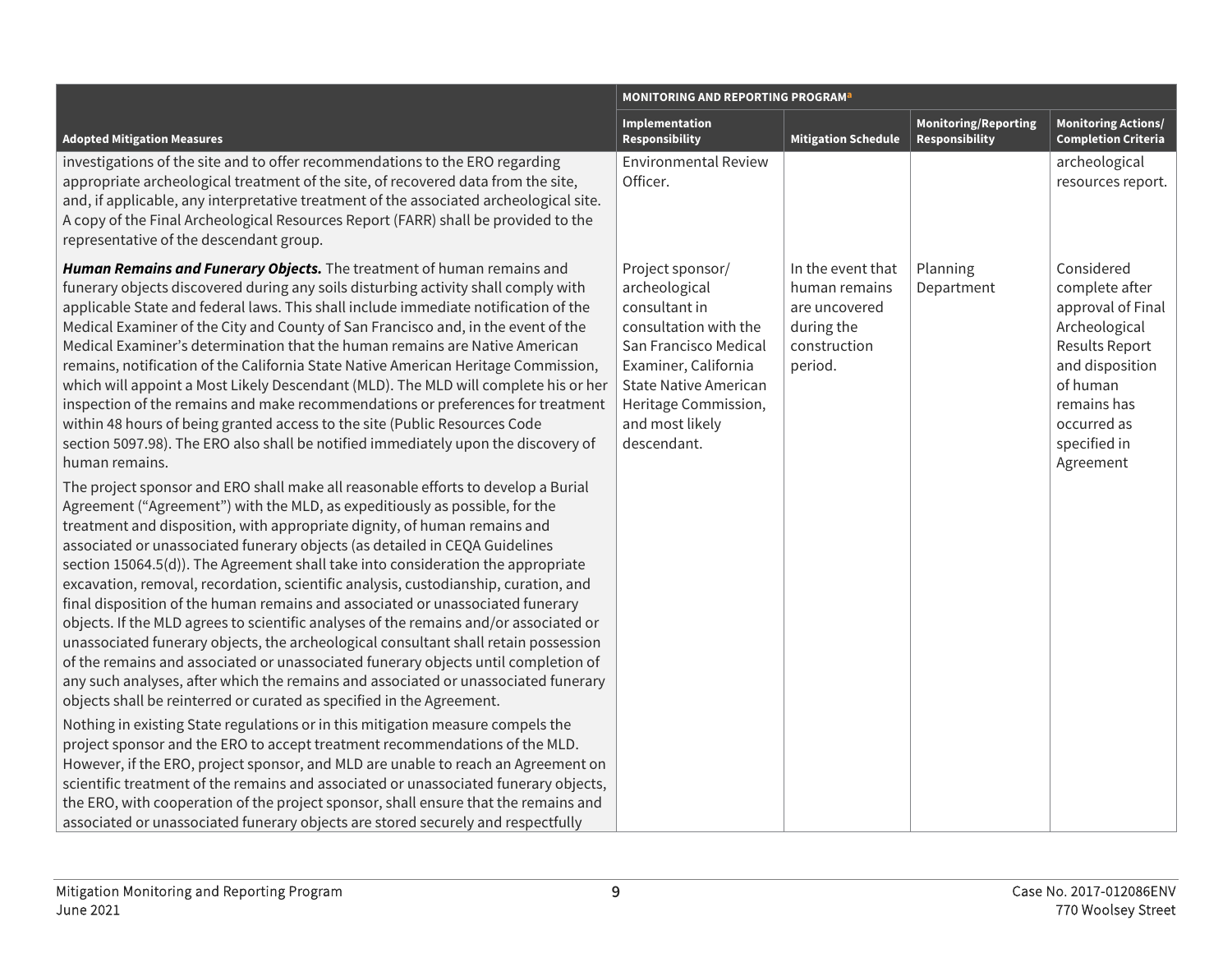|                                                                                                                                                                                                                                                                                                                                                                                                                                                                                                                                                                                                                                                                                                                                                                                                                                                                                                                                                                                                                                                                                                                                                                                                                                                                                                                                                                                                                                                                                                                                                                                                                                                                                                                                                                                                                                                                                                                                                                                                                                                                                                                                                                                                                                                                                                                                                                                                                                           | <b>MONITORING AND REPORTING PROGRAM</b> <sup>2</sup>                                                                                                                                                                   |                                                                                              |                                                      |                                                                                                                                                                                       |
|-------------------------------------------------------------------------------------------------------------------------------------------------------------------------------------------------------------------------------------------------------------------------------------------------------------------------------------------------------------------------------------------------------------------------------------------------------------------------------------------------------------------------------------------------------------------------------------------------------------------------------------------------------------------------------------------------------------------------------------------------------------------------------------------------------------------------------------------------------------------------------------------------------------------------------------------------------------------------------------------------------------------------------------------------------------------------------------------------------------------------------------------------------------------------------------------------------------------------------------------------------------------------------------------------------------------------------------------------------------------------------------------------------------------------------------------------------------------------------------------------------------------------------------------------------------------------------------------------------------------------------------------------------------------------------------------------------------------------------------------------------------------------------------------------------------------------------------------------------------------------------------------------------------------------------------------------------------------------------------------------------------------------------------------------------------------------------------------------------------------------------------------------------------------------------------------------------------------------------------------------------------------------------------------------------------------------------------------------------------------------------------------------------------------------------------------|------------------------------------------------------------------------------------------------------------------------------------------------------------------------------------------------------------------------|----------------------------------------------------------------------------------------------|------------------------------------------------------|---------------------------------------------------------------------------------------------------------------------------------------------------------------------------------------|
| <b>Adopted Mitigation Measures</b>                                                                                                                                                                                                                                                                                                                                                                                                                                                                                                                                                                                                                                                                                                                                                                                                                                                                                                                                                                                                                                                                                                                                                                                                                                                                                                                                                                                                                                                                                                                                                                                                                                                                                                                                                                                                                                                                                                                                                                                                                                                                                                                                                                                                                                                                                                                                                                                                        | Implementation<br><b>Responsibility</b>                                                                                                                                                                                | <b>Mitigation Schedule</b>                                                                   | <b>Monitoring/Reporting</b><br><b>Responsibility</b> | <b>Monitoring Actions/</b><br><b>Completion Criteria</b>                                                                                                                              |
| investigations of the site and to offer recommendations to the ERO regarding<br>appropriate archeological treatment of the site, of recovered data from the site,<br>and, if applicable, any interpretative treatment of the associated archeological site.<br>A copy of the Final Archeological Resources Report (FARR) shall be provided to the<br>representative of the descendant group.                                                                                                                                                                                                                                                                                                                                                                                                                                                                                                                                                                                                                                                                                                                                                                                                                                                                                                                                                                                                                                                                                                                                                                                                                                                                                                                                                                                                                                                                                                                                                                                                                                                                                                                                                                                                                                                                                                                                                                                                                                              | <b>Environmental Review</b><br>Officer.                                                                                                                                                                                |                                                                                              |                                                      | archeological<br>resources report.                                                                                                                                                    |
| Human Remains and Funerary Objects. The treatment of human remains and<br>funerary objects discovered during any soils disturbing activity shall comply with<br>applicable State and federal laws. This shall include immediate notification of the<br>Medical Examiner of the City and County of San Francisco and, in the event of the<br>Medical Examiner's determination that the human remains are Native American<br>remains, notification of the California State Native American Heritage Commission,<br>which will appoint a Most Likely Descendant (MLD). The MLD will complete his or her<br>inspection of the remains and make recommendations or preferences for treatment<br>within 48 hours of being granted access to the site (Public Resources Code<br>section 5097.98). The ERO also shall be notified immediately upon the discovery of<br>human remains.<br>The project sponsor and ERO shall make all reasonable efforts to develop a Burial<br>Agreement ("Agreement") with the MLD, as expeditiously as possible, for the<br>treatment and disposition, with appropriate dignity, of human remains and<br>associated or unassociated funerary objects (as detailed in CEQA Guidelines<br>section 15064.5(d)). The Agreement shall take into consideration the appropriate<br>excavation, removal, recordation, scientific analysis, custodianship, curation, and<br>final disposition of the human remains and associated or unassociated funerary<br>objects. If the MLD agrees to scientific analyses of the remains and/or associated or<br>unassociated funerary objects, the archeological consultant shall retain possession<br>of the remains and associated or unassociated funerary objects until completion of<br>any such analyses, after which the remains and associated or unassociated funerary<br>objects shall be reinterred or curated as specified in the Agreement.<br>Nothing in existing State regulations or in this mitigation measure compels the<br>project sponsor and the ERO to accept treatment recommendations of the MLD.<br>However, if the ERO, project sponsor, and MLD are unable to reach an Agreement on<br>scientific treatment of the remains and associated or unassociated funerary objects,<br>the ERO, with cooperation of the project sponsor, shall ensure that the remains and<br>associated or unassociated funerary objects are stored securely and respectfully | Project sponsor/<br>archeological<br>consultant in<br>consultation with the<br>San Francisco Medical<br>Examiner, California<br><b>State Native American</b><br>Heritage Commission,<br>and most likely<br>descendant. | In the event that<br>human remains<br>are uncovered<br>during the<br>construction<br>period. | Planning<br>Department                               | Considered<br>complete after<br>approval of Final<br>Archeological<br><b>Results Report</b><br>and disposition<br>of human<br>remains has<br>occurred as<br>specified in<br>Agreement |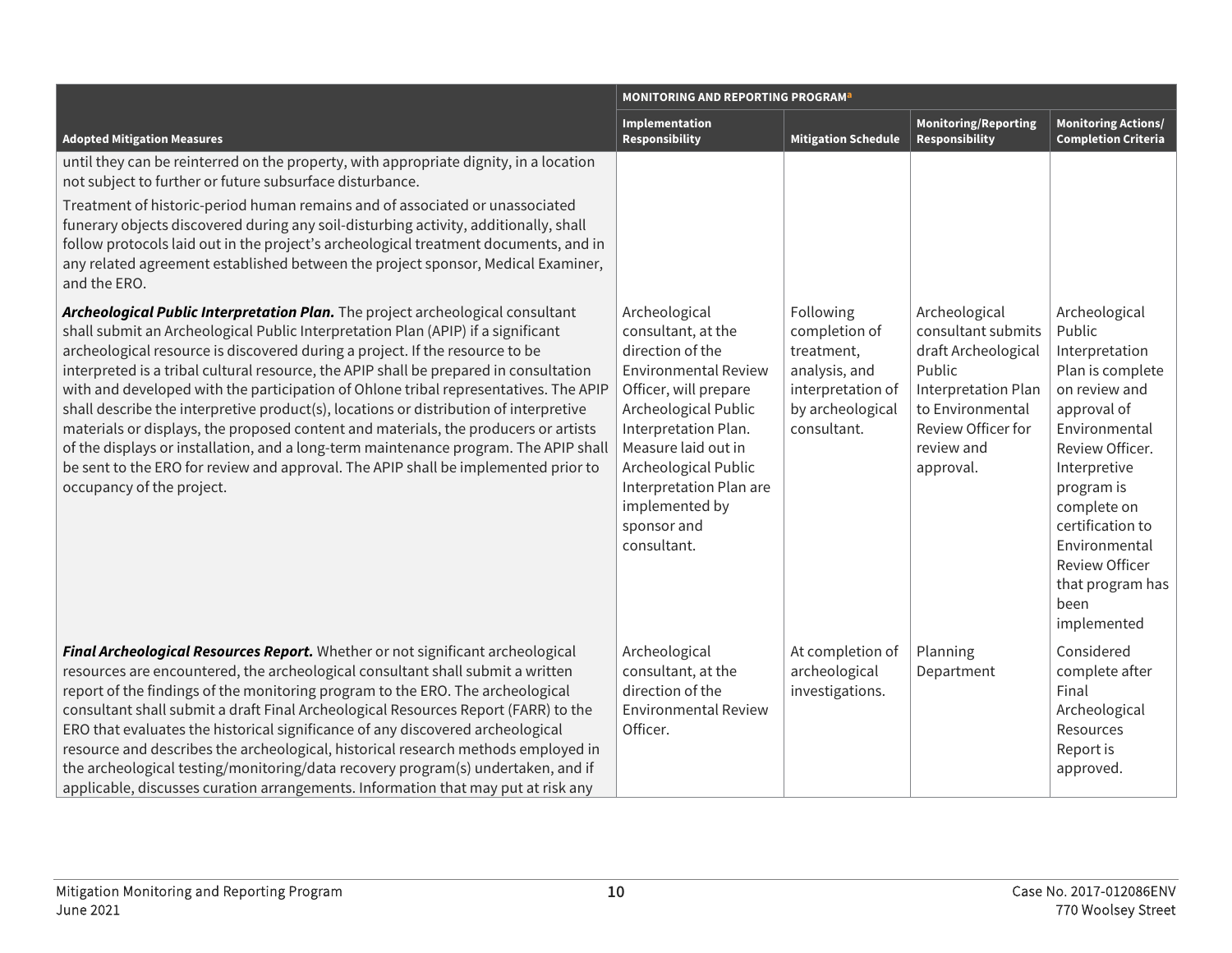|                                                                                                                                                                                                                                                                                                                                                                                                                                                                                                                                                                                                                                                                                                                                                                                                                                | <b>MONITORING AND REPORTING PROGRAM</b> <sup>a</sup>                                                                                                                                                                                                                                      |                                                                                                                   |                                                                                                                                                                  |                                                                                                                                                                                                                                                                                         |
|--------------------------------------------------------------------------------------------------------------------------------------------------------------------------------------------------------------------------------------------------------------------------------------------------------------------------------------------------------------------------------------------------------------------------------------------------------------------------------------------------------------------------------------------------------------------------------------------------------------------------------------------------------------------------------------------------------------------------------------------------------------------------------------------------------------------------------|-------------------------------------------------------------------------------------------------------------------------------------------------------------------------------------------------------------------------------------------------------------------------------------------|-------------------------------------------------------------------------------------------------------------------|------------------------------------------------------------------------------------------------------------------------------------------------------------------|-----------------------------------------------------------------------------------------------------------------------------------------------------------------------------------------------------------------------------------------------------------------------------------------|
| <b>Adopted Mitigation Measures</b>                                                                                                                                                                                                                                                                                                                                                                                                                                                                                                                                                                                                                                                                                                                                                                                             | Implementation<br><b>Responsibility</b>                                                                                                                                                                                                                                                   | <b>Mitigation Schedule</b>                                                                                        | <b>Monitoring/Reporting</b><br>Responsibility                                                                                                                    | <b>Monitoring Actions/</b><br><b>Completion Criteria</b>                                                                                                                                                                                                                                |
| until they can be reinterred on the property, with appropriate dignity, in a location<br>not subject to further or future subsurface disturbance.                                                                                                                                                                                                                                                                                                                                                                                                                                                                                                                                                                                                                                                                              |                                                                                                                                                                                                                                                                                           |                                                                                                                   |                                                                                                                                                                  |                                                                                                                                                                                                                                                                                         |
| Treatment of historic-period human remains and of associated or unassociated<br>funerary objects discovered during any soil-disturbing activity, additionally, shall<br>follow protocols laid out in the project's archeological treatment documents, and in<br>any related agreement established between the project sponsor, Medical Examiner,<br>and the ERO.                                                                                                                                                                                                                                                                                                                                                                                                                                                               |                                                                                                                                                                                                                                                                                           |                                                                                                                   |                                                                                                                                                                  |                                                                                                                                                                                                                                                                                         |
| Archeological Public Interpretation Plan. The project archeological consultant<br>shall submit an Archeological Public Interpretation Plan (APIP) if a significant<br>archeological resource is discovered during a project. If the resource to be<br>interpreted is a tribal cultural resource, the APIP shall be prepared in consultation<br>with and developed with the participation of Ohlone tribal representatives. The APIP<br>shall describe the interpretive product(s), locations or distribution of interpretive<br>materials or displays, the proposed content and materials, the producers or artists<br>of the displays or installation, and a long-term maintenance program. The APIP shall<br>be sent to the ERO for review and approval. The APIP shall be implemented prior to<br>occupancy of the project. | Archeological<br>consultant, at the<br>direction of the<br><b>Environmental Review</b><br>Officer, will prepare<br>Archeological Public<br>Interpretation Plan.<br>Measure laid out in<br>Archeological Public<br>Interpretation Plan are<br>implemented by<br>sponsor and<br>consultant. | Following<br>completion of<br>treatment,<br>analysis, and<br>interpretation of<br>by archeological<br>consultant. | Archeological<br>consultant submits<br>draft Archeological<br>Public<br>Interpretation Plan<br>to Environmental<br>Review Officer for<br>review and<br>approval. | Archeological<br>Public<br>Interpretation<br>Plan is complete<br>on review and<br>approval of<br>Environmental<br>Review Officer.<br>Interpretive<br>program is<br>complete on<br>certification to<br>Environmental<br><b>Review Officer</b><br>that program has<br>been<br>implemented |
| Final Archeological Resources Report. Whether or not significant archeological<br>resources are encountered, the archeological consultant shall submit a written<br>report of the findings of the monitoring program to the ERO. The archeological<br>consultant shall submit a draft Final Archeological Resources Report (FARR) to the<br>ERO that evaluates the historical significance of any discovered archeological<br>resource and describes the archeological, historical research methods employed in<br>the archeological testing/monitoring/data recovery program(s) undertaken, and if<br>applicable, discusses curation arrangements. Information that may put at risk any                                                                                                                                       | Archeological<br>consultant, at the<br>direction of the<br><b>Environmental Review</b><br>Officer.                                                                                                                                                                                        | At completion of<br>archeological<br>investigations.                                                              | Planning<br>Department                                                                                                                                           | Considered<br>complete after<br>Final<br>Archeological<br>Resources<br>Report is<br>approved.                                                                                                                                                                                           |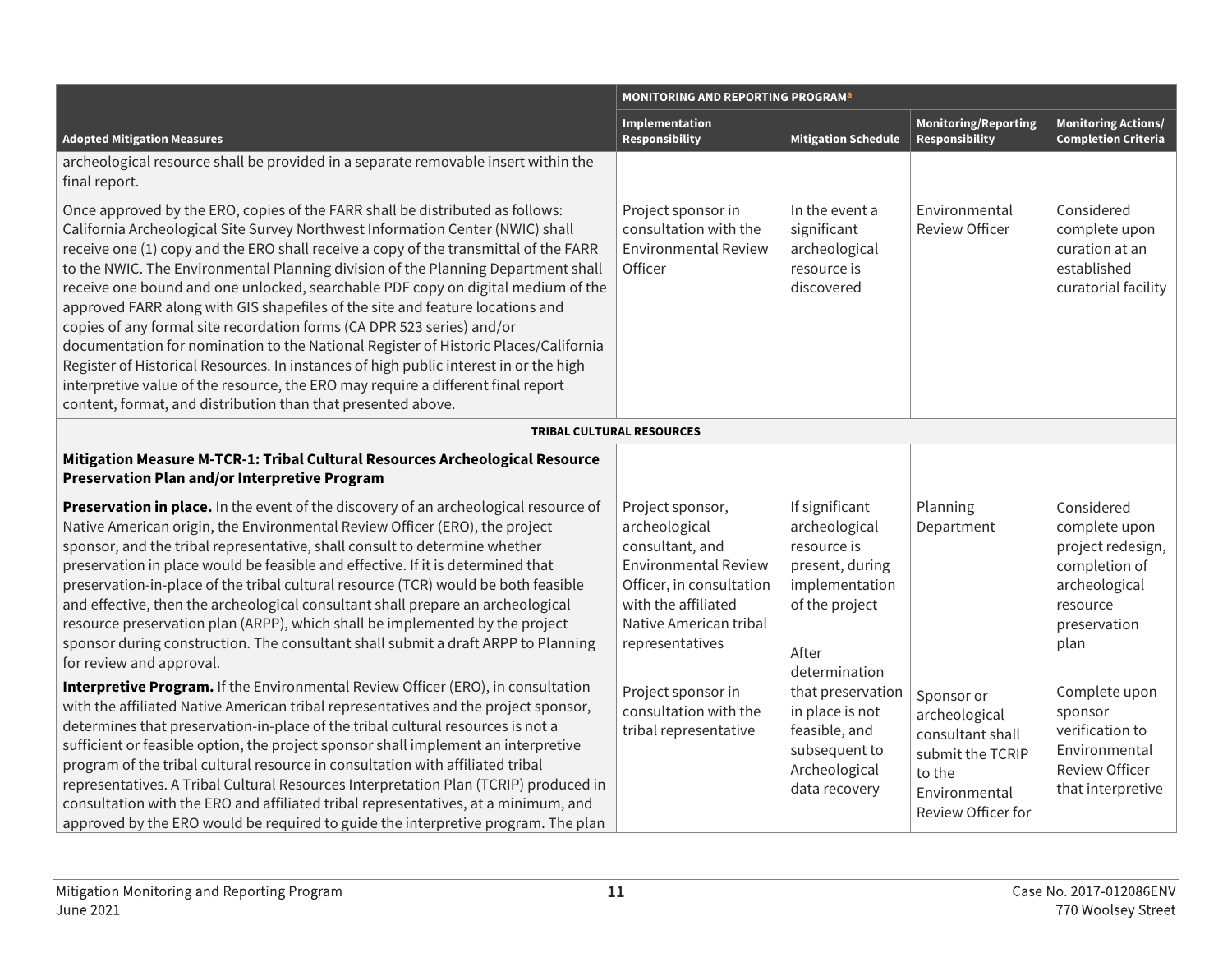|                                                                                                                                                                                                                                                                                                                                                                                                                                                                                                                                                                                                                                                                                                                                                                                                                                                                                                                                 | <b>MONITORING AND REPORTING PROGRAM</b> <sup>a</sup>                                                                                                                                |                                                                                                                                 |                                                                                                                      |                                                                                                                        |
|---------------------------------------------------------------------------------------------------------------------------------------------------------------------------------------------------------------------------------------------------------------------------------------------------------------------------------------------------------------------------------------------------------------------------------------------------------------------------------------------------------------------------------------------------------------------------------------------------------------------------------------------------------------------------------------------------------------------------------------------------------------------------------------------------------------------------------------------------------------------------------------------------------------------------------|-------------------------------------------------------------------------------------------------------------------------------------------------------------------------------------|---------------------------------------------------------------------------------------------------------------------------------|----------------------------------------------------------------------------------------------------------------------|------------------------------------------------------------------------------------------------------------------------|
| <b>Adopted Mitigation Measures</b>                                                                                                                                                                                                                                                                                                                                                                                                                                                                                                                                                                                                                                                                                                                                                                                                                                                                                              | Implementation<br>Responsibility                                                                                                                                                    | <b>Mitigation Schedule</b>                                                                                                      | <b>Monitoring/Reporting</b><br><b>Responsibility</b>                                                                 | <b>Monitoring Actions/</b><br><b>Completion Criteria</b>                                                               |
| archeological resource shall be provided in a separate removable insert within the<br>final report.                                                                                                                                                                                                                                                                                                                                                                                                                                                                                                                                                                                                                                                                                                                                                                                                                             |                                                                                                                                                                                     |                                                                                                                                 |                                                                                                                      |                                                                                                                        |
| Once approved by the ERO, copies of the FARR shall be distributed as follows:<br>California Archeological Site Survey Northwest Information Center (NWIC) shall<br>receive one (1) copy and the ERO shall receive a copy of the transmittal of the FARR<br>to the NWIC. The Environmental Planning division of the Planning Department shall<br>receive one bound and one unlocked, searchable PDF copy on digital medium of the<br>approved FARR along with GIS shapefiles of the site and feature locations and<br>copies of any formal site recordation forms (CA DPR 523 series) and/or<br>documentation for nomination to the National Register of Historic Places/California<br>Register of Historical Resources. In instances of high public interest in or the high<br>interpretive value of the resource, the ERO may require a different final report<br>content, format, and distribution than that presented above. | Project sponsor in<br>consultation with the<br><b>Environmental Review</b><br>Officer                                                                                               | In the event a<br>significant<br>archeological<br>resource is<br>discovered                                                     | Environmental<br><b>Review Officer</b>                                                                               | Considered<br>complete upon<br>curation at an<br>established<br>curatorial facility                                    |
|                                                                                                                                                                                                                                                                                                                                                                                                                                                                                                                                                                                                                                                                                                                                                                                                                                                                                                                                 | <b>TRIBAL CULTURAL RESOURCES</b>                                                                                                                                                    |                                                                                                                                 |                                                                                                                      |                                                                                                                        |
| Mitigation Measure M-TCR-1: Tribal Cultural Resources Archeological Resource<br>Preservation Plan and/or Interpretive Program                                                                                                                                                                                                                                                                                                                                                                                                                                                                                                                                                                                                                                                                                                                                                                                                   |                                                                                                                                                                                     |                                                                                                                                 |                                                                                                                      |                                                                                                                        |
| Preservation in place. In the event of the discovery of an archeological resource of<br>Native American origin, the Environmental Review Officer (ERO), the project<br>sponsor, and the tribal representative, shall consult to determine whether<br>preservation in place would be feasible and effective. If it is determined that<br>preservation-in-place of the tribal cultural resource (TCR) would be both feasible<br>and effective, then the archeological consultant shall prepare an archeological<br>resource preservation plan (ARPP), which shall be implemented by the project<br>sponsor during construction. The consultant shall submit a draft ARPP to Planning<br>for review and approval.                                                                                                                                                                                                                  | Project sponsor,<br>archeological<br>consultant, and<br><b>Environmental Review</b><br>Officer, in consultation<br>with the affiliated<br>Native American tribal<br>representatives | If significant<br>archeological<br>resource is<br>present, during<br>implementation<br>of the project<br>After<br>determination | Planning<br>Department                                                                                               | Considered<br>complete upon<br>project redesign,<br>completion of<br>archeological<br>resource<br>preservation<br>plan |
| Interpretive Program. If the Environmental Review Officer (ERO), in consultation<br>with the affiliated Native American tribal representatives and the project sponsor,<br>determines that preservation-in-place of the tribal cultural resources is not a<br>sufficient or feasible option, the project sponsor shall implement an interpretive<br>program of the tribal cultural resource in consultation with affiliated tribal<br>representatives. A Tribal Cultural Resources Interpretation Plan (TCRIP) produced in<br>consultation with the ERO and affiliated tribal representatives, at a minimum, and<br>approved by the ERO would be required to guide the interpretive program. The plan                                                                                                                                                                                                                           | Project sponsor in<br>consultation with the<br>tribal representative                                                                                                                | that preservation<br>in place is not<br>feasible, and<br>subsequent to<br>Archeological<br>data recovery                        | Sponsor or<br>archeological<br>consultant shall<br>submit the TCRIP<br>to the<br>Environmental<br>Review Officer for | Complete upon<br>sponsor<br>verification to<br>Environmental<br><b>Review Officer</b><br>that interpretive             |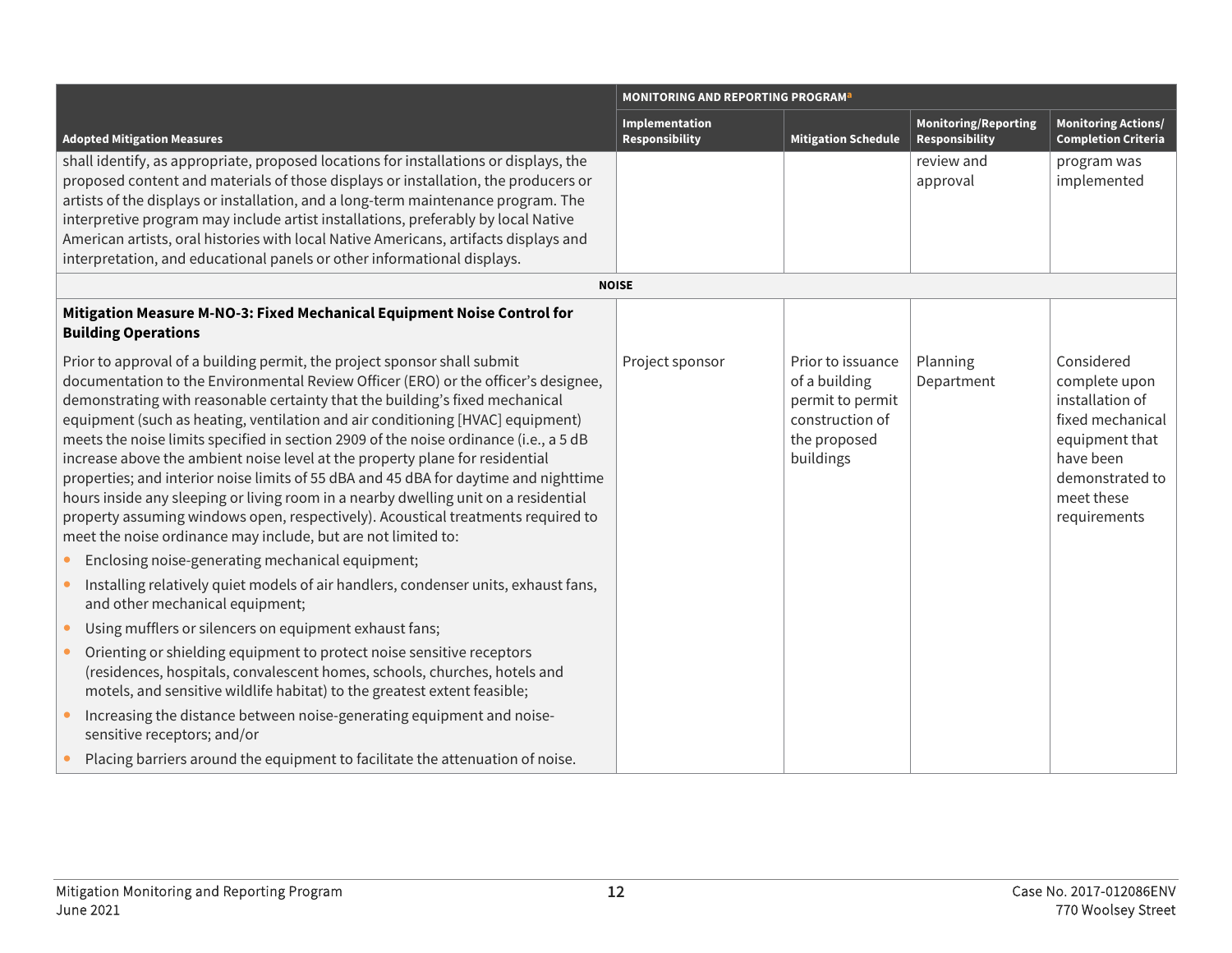|                                                                                                                                                                                                                                                                                                                                                                                                                                                                                                                                                                                                                                                                                                                                                                                                                                                                                                   | <b>MONITORING AND REPORTING PROGRAM</b> <sup>a</sup> |                                                                                                        |                                               |                                                                                                                                                    |
|---------------------------------------------------------------------------------------------------------------------------------------------------------------------------------------------------------------------------------------------------------------------------------------------------------------------------------------------------------------------------------------------------------------------------------------------------------------------------------------------------------------------------------------------------------------------------------------------------------------------------------------------------------------------------------------------------------------------------------------------------------------------------------------------------------------------------------------------------------------------------------------------------|------------------------------------------------------|--------------------------------------------------------------------------------------------------------|-----------------------------------------------|----------------------------------------------------------------------------------------------------------------------------------------------------|
| <b>Adopted Mitigation Measures</b>                                                                                                                                                                                                                                                                                                                                                                                                                                                                                                                                                                                                                                                                                                                                                                                                                                                                | Implementation<br>Responsibility                     | <b>Mitigation Schedule</b>                                                                             | <b>Monitoring/Reporting</b><br>Responsibility | <b>Monitoring Actions/</b><br><b>Completion Criteria</b>                                                                                           |
| shall identify, as appropriate, proposed locations for installations or displays, the<br>proposed content and materials of those displays or installation, the producers or<br>artists of the displays or installation, and a long-term maintenance program. The<br>interpretive program may include artist installations, preferably by local Native<br>American artists, oral histories with local Native Americans, artifacts displays and<br>interpretation, and educational panels or other informational displays.                                                                                                                                                                                                                                                                                                                                                                          |                                                      |                                                                                                        | review and<br>approval                        | program was<br>implemented                                                                                                                         |
|                                                                                                                                                                                                                                                                                                                                                                                                                                                                                                                                                                                                                                                                                                                                                                                                                                                                                                   | <b>NOISE</b>                                         |                                                                                                        |                                               |                                                                                                                                                    |
| Mitigation Measure M-NO-3: Fixed Mechanical Equipment Noise Control for<br><b>Building Operations</b>                                                                                                                                                                                                                                                                                                                                                                                                                                                                                                                                                                                                                                                                                                                                                                                             |                                                      |                                                                                                        |                                               |                                                                                                                                                    |
| Prior to approval of a building permit, the project sponsor shall submit<br>documentation to the Environmental Review Officer (ERO) or the officer's designee,<br>demonstrating with reasonable certainty that the building's fixed mechanical<br>equipment (such as heating, ventilation and air conditioning [HVAC] equipment)<br>meets the noise limits specified in section 2909 of the noise ordinance (i.e., a 5 dB<br>increase above the ambient noise level at the property plane for residential<br>properties; and interior noise limits of 55 dBA and 45 dBA for daytime and nighttime<br>hours inside any sleeping or living room in a nearby dwelling unit on a residential<br>property assuming windows open, respectively). Acoustical treatments required to<br>meet the noise ordinance may include, but are not limited to:<br>Enclosing noise-generating mechanical equipment; | Project sponsor                                      | Prior to issuance<br>of a building<br>permit to permit<br>construction of<br>the proposed<br>buildings | Planning<br>Department                        | Considered<br>complete upon<br>installation of<br>fixed mechanical<br>equipment that<br>have been<br>demonstrated to<br>meet these<br>requirements |
| Installing relatively quiet models of air handlers, condenser units, exhaust fans,<br>and other mechanical equipment;                                                                                                                                                                                                                                                                                                                                                                                                                                                                                                                                                                                                                                                                                                                                                                             |                                                      |                                                                                                        |                                               |                                                                                                                                                    |
| Using mufflers or silencers on equipment exhaust fans;<br>Orienting or shielding equipment to protect noise sensitive receptors<br>(residences, hospitals, convalescent homes, schools, churches, hotels and<br>motels, and sensitive wildlife habitat) to the greatest extent feasible;                                                                                                                                                                                                                                                                                                                                                                                                                                                                                                                                                                                                          |                                                      |                                                                                                        |                                               |                                                                                                                                                    |
| Increasing the distance between noise-generating equipment and noise-<br>sensitive receptors; and/or                                                                                                                                                                                                                                                                                                                                                                                                                                                                                                                                                                                                                                                                                                                                                                                              |                                                      |                                                                                                        |                                               |                                                                                                                                                    |
| Placing barriers around the equipment to facilitate the attenuation of noise.                                                                                                                                                                                                                                                                                                                                                                                                                                                                                                                                                                                                                                                                                                                                                                                                                     |                                                      |                                                                                                        |                                               |                                                                                                                                                    |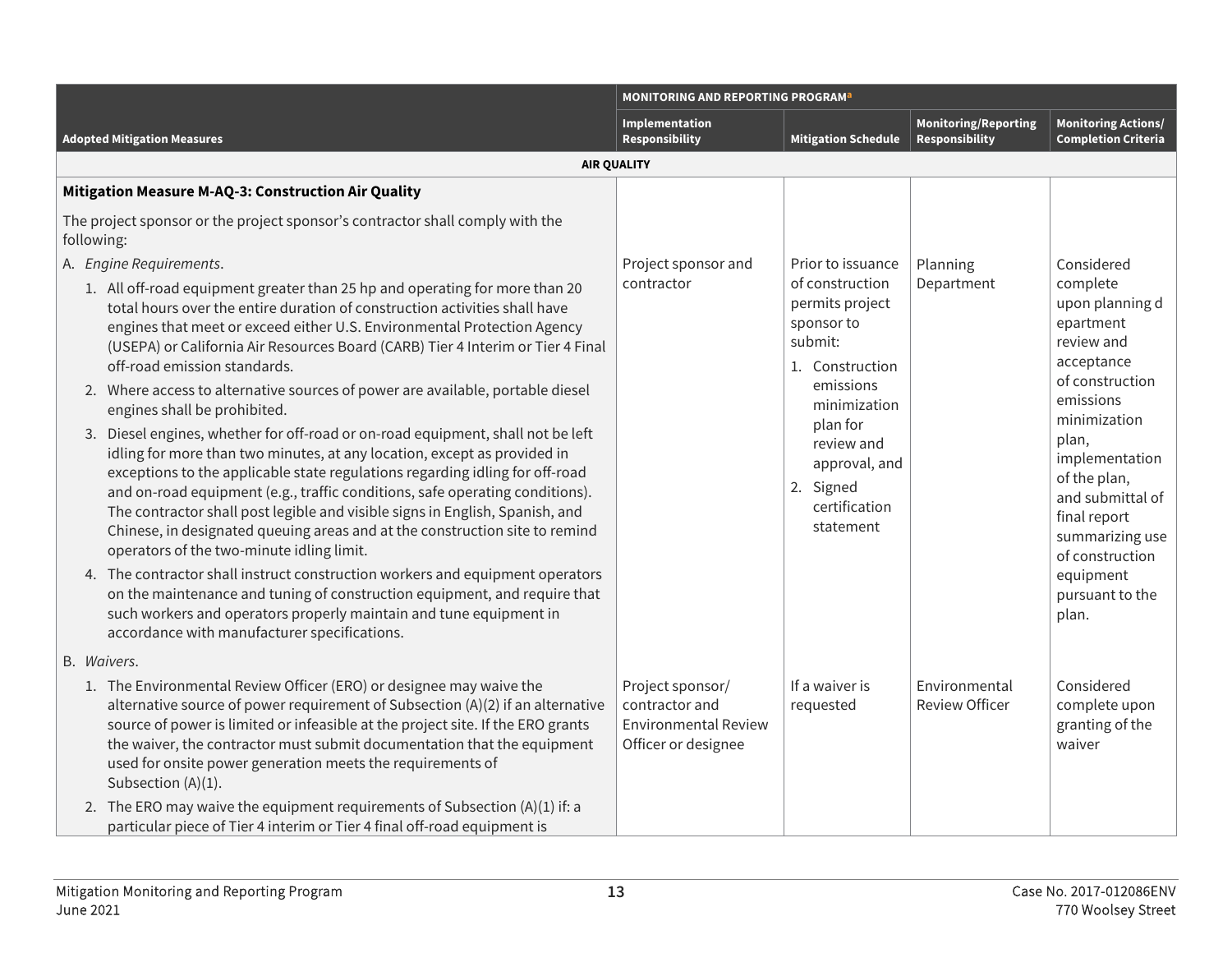|                                                                                                                                                                                                                                                                                                                                                                                                                                                                                                                                                                                                                                                                                                                                                                                                                                                                                                                                                                                                                                                 | <b>MONITORING AND REPORTING PROGRAM<sup>a</sup></b>                                      |                                                                                                                                                                                                                        |                                               |                                                                                                                                                                                                                                      |
|-------------------------------------------------------------------------------------------------------------------------------------------------------------------------------------------------------------------------------------------------------------------------------------------------------------------------------------------------------------------------------------------------------------------------------------------------------------------------------------------------------------------------------------------------------------------------------------------------------------------------------------------------------------------------------------------------------------------------------------------------------------------------------------------------------------------------------------------------------------------------------------------------------------------------------------------------------------------------------------------------------------------------------------------------|------------------------------------------------------------------------------------------|------------------------------------------------------------------------------------------------------------------------------------------------------------------------------------------------------------------------|-----------------------------------------------|--------------------------------------------------------------------------------------------------------------------------------------------------------------------------------------------------------------------------------------|
| <b>Adopted Mitigation Measures</b>                                                                                                                                                                                                                                                                                                                                                                                                                                                                                                                                                                                                                                                                                                                                                                                                                                                                                                                                                                                                              | Implementation<br><b>Responsibility</b>                                                  | <b>Mitigation Schedule</b>                                                                                                                                                                                             | Monitoring/Reporting<br><b>Responsibility</b> | <b>Monitoring Actions/</b><br><b>Completion Criteria</b>                                                                                                                                                                             |
| <b>AIR QUALITY</b>                                                                                                                                                                                                                                                                                                                                                                                                                                                                                                                                                                                                                                                                                                                                                                                                                                                                                                                                                                                                                              |                                                                                          |                                                                                                                                                                                                                        |                                               |                                                                                                                                                                                                                                      |
| Mitigation Measure M-AQ-3: Construction Air Quality                                                                                                                                                                                                                                                                                                                                                                                                                                                                                                                                                                                                                                                                                                                                                                                                                                                                                                                                                                                             |                                                                                          |                                                                                                                                                                                                                        |                                               |                                                                                                                                                                                                                                      |
| The project sponsor or the project sponsor's contractor shall comply with the<br>following:                                                                                                                                                                                                                                                                                                                                                                                                                                                                                                                                                                                                                                                                                                                                                                                                                                                                                                                                                     |                                                                                          |                                                                                                                                                                                                                        |                                               |                                                                                                                                                                                                                                      |
| A. Engine Requirements.<br>1. All off-road equipment greater than 25 hp and operating for more than 20<br>total hours over the entire duration of construction activities shall have<br>engines that meet or exceed either U.S. Environmental Protection Agency<br>(USEPA) or California Air Resources Board (CARB) Tier 4 Interim or Tier 4 Final<br>off-road emission standards.<br>2. Where access to alternative sources of power are available, portable diesel<br>engines shall be prohibited.<br>3. Diesel engines, whether for off-road or on-road equipment, shall not be left<br>idling for more than two minutes, at any location, except as provided in<br>exceptions to the applicable state regulations regarding idling for off-road<br>and on-road equipment (e.g., traffic conditions, safe operating conditions).<br>The contractor shall post legible and visible signs in English, Spanish, and<br>Chinese, in designated queuing areas and at the construction site to remind<br>operators of the two-minute idling limit. | Project sponsor and<br>contractor                                                        | Prior to issuance<br>of construction<br>permits project<br>sponsor to<br>submit:<br>1. Construction<br>emissions<br>minimization<br>plan for<br>review and<br>approval, and<br>2. Signed<br>certification<br>statement | Planning<br>Department                        | Considered<br>complete<br>upon planning d<br>epartment<br>review and<br>acceptance<br>of construction<br>emissions<br>minimization<br>plan,<br>implementation<br>of the plan,<br>and submittal of<br>final report<br>summarizing use |
| 4. The contractor shall instruct construction workers and equipment operators<br>on the maintenance and tuning of construction equipment, and require that<br>such workers and operators properly maintain and tune equipment in<br>accordance with manufacturer specifications.                                                                                                                                                                                                                                                                                                                                                                                                                                                                                                                                                                                                                                                                                                                                                                |                                                                                          |                                                                                                                                                                                                                        |                                               | of construction<br>equipment<br>pursuant to the<br>plan.                                                                                                                                                                             |
| B. Waivers.                                                                                                                                                                                                                                                                                                                                                                                                                                                                                                                                                                                                                                                                                                                                                                                                                                                                                                                                                                                                                                     |                                                                                          |                                                                                                                                                                                                                        |                                               |                                                                                                                                                                                                                                      |
| 1. The Environmental Review Officer (ERO) or designee may waive the<br>alternative source of power requirement of Subsection (A)(2) if an alternative<br>source of power is limited or infeasible at the project site. If the ERO grants<br>the waiver, the contractor must submit documentation that the equipment<br>used for onsite power generation meets the requirements of<br>Subsection (A)(1).                                                                                                                                                                                                                                                                                                                                                                                                                                                                                                                                                                                                                                         | Project sponsor/<br>contractor and<br><b>Environmental Review</b><br>Officer or designee | If a waiver is<br>requested                                                                                                                                                                                            | Environmental<br><b>Review Officer</b>        | Considered<br>complete upon<br>granting of the<br>waiver                                                                                                                                                                             |
| 2. The ERO may waive the equipment requirements of Subsection (A)(1) if: a<br>particular piece of Tier 4 interim or Tier 4 final off-road equipment is                                                                                                                                                                                                                                                                                                                                                                                                                                                                                                                                                                                                                                                                                                                                                                                                                                                                                          |                                                                                          |                                                                                                                                                                                                                        |                                               |                                                                                                                                                                                                                                      |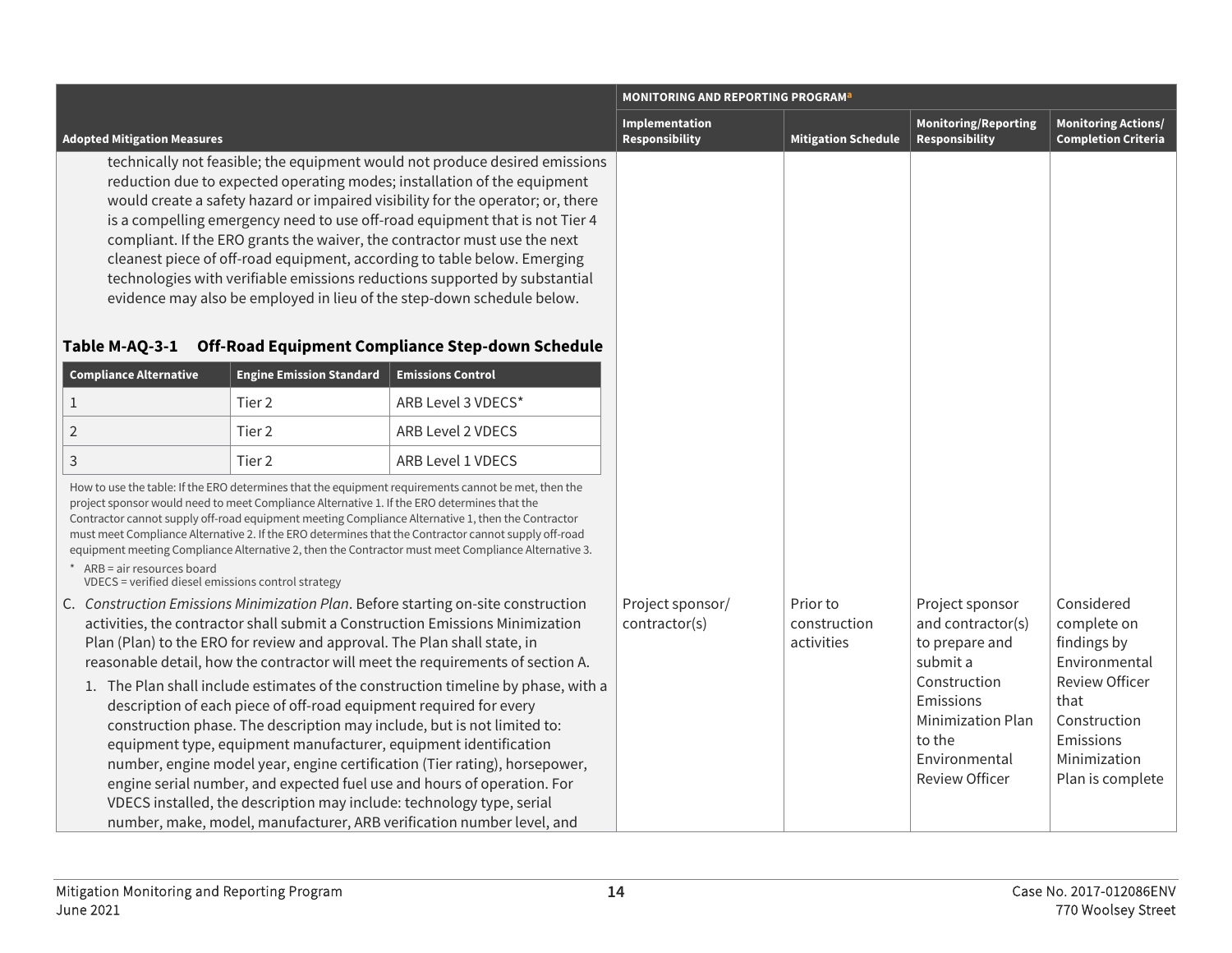|                                                                                   |                                                                                                                                                |                                                                                                                                                                                                                                                                                                                                                                                                                                                                                                                                                                                                                                                                                                                                                                                                     | <b>MONITORING AND REPORTING PROGRAM<sup>a</sup></b> |                                        |                                                                                                                                                                          |                                                                                                                                                             |  |
|-----------------------------------------------------------------------------------|------------------------------------------------------------------------------------------------------------------------------------------------|-----------------------------------------------------------------------------------------------------------------------------------------------------------------------------------------------------------------------------------------------------------------------------------------------------------------------------------------------------------------------------------------------------------------------------------------------------------------------------------------------------------------------------------------------------------------------------------------------------------------------------------------------------------------------------------------------------------------------------------------------------------------------------------------------------|-----------------------------------------------------|----------------------------------------|--------------------------------------------------------------------------------------------------------------------------------------------------------------------------|-------------------------------------------------------------------------------------------------------------------------------------------------------------|--|
| <b>Adopted Mitigation Measures</b>                                                |                                                                                                                                                |                                                                                                                                                                                                                                                                                                                                                                                                                                                                                                                                                                                                                                                                                                                                                                                                     | Implementation<br>Responsibility                    | <b>Mitigation Schedule</b>             | <b>Monitoring/Reporting</b><br>Responsibility                                                                                                                            | <b>Monitoring Actions/</b><br><b>Completion Criteria</b>                                                                                                    |  |
| Table M-AQ-3-1                                                                    |                                                                                                                                                | technically not feasible; the equipment would not produce desired emissions<br>reduction due to expected operating modes; installation of the equipment<br>would create a safety hazard or impaired visibility for the operator; or, there<br>is a compelling emergency need to use off-road equipment that is not Tier 4<br>compliant. If the ERO grants the waiver, the contractor must use the next<br>cleanest piece of off-road equipment, according to table below. Emerging<br>technologies with verifiable emissions reductions supported by substantial<br>evidence may also be employed in lieu of the step-down schedule below.<br>Off-Road Equipment Compliance Step-down Schedule                                                                                                      |                                                     |                                        |                                                                                                                                                                          |                                                                                                                                                             |  |
| <b>Compliance Alternative</b>                                                     | <b>Engine Emission Standard</b>                                                                                                                | <b>Emissions Control</b>                                                                                                                                                                                                                                                                                                                                                                                                                                                                                                                                                                                                                                                                                                                                                                            |                                                     |                                        |                                                                                                                                                                          |                                                                                                                                                             |  |
| $\mathbf 1$                                                                       | Tier 2                                                                                                                                         | ARB Level 3 VDECS*                                                                                                                                                                                                                                                                                                                                                                                                                                                                                                                                                                                                                                                                                                                                                                                  |                                                     |                                        |                                                                                                                                                                          |                                                                                                                                                             |  |
| $\overline{2}$                                                                    | Tier <sub>2</sub>                                                                                                                              | ARB Level 2 VDECS                                                                                                                                                                                                                                                                                                                                                                                                                                                                                                                                                                                                                                                                                                                                                                                   |                                                     |                                        |                                                                                                                                                                          |                                                                                                                                                             |  |
| 3                                                                                 | Tier <sub>2</sub>                                                                                                                              | ARB Level 1 VDECS                                                                                                                                                                                                                                                                                                                                                                                                                                                                                                                                                                                                                                                                                                                                                                                   |                                                     |                                        |                                                                                                                                                                          |                                                                                                                                                             |  |
| * ARB = air resources board<br>VDECS = verified diesel emissions control strategy | project sponsor would need to meet Compliance Alternative 1. If the ERO determines that the                                                    | How to use the table: If the ERO determines that the equipment requirements cannot be met, then the<br>Contractor cannot supply off-road equipment meeting Compliance Alternative 1, then the Contractor<br>must meet Compliance Alternative 2. If the ERO determines that the Contractor cannot supply off-road<br>equipment meeting Compliance Alternative 2, then the Contractor must meet Compliance Alternative 3.                                                                                                                                                                                                                                                                                                                                                                             |                                                     |                                        |                                                                                                                                                                          |                                                                                                                                                             |  |
|                                                                                   | Plan (Plan) to the ERO for review and approval. The Plan shall state, in<br>description of each piece of off-road equipment required for every | C. Construction Emissions Minimization Plan. Before starting on-site construction<br>activities, the contractor shall submit a Construction Emissions Minimization<br>reasonable detail, how the contractor will meet the requirements of section A.<br>1. The Plan shall include estimates of the construction timeline by phase, with a<br>construction phase. The description may include, but is not limited to:<br>equipment type, equipment manufacturer, equipment identification<br>number, engine model year, engine certification (Tier rating), horsepower,<br>engine serial number, and expected fuel use and hours of operation. For<br>VDECS installed, the description may include: technology type, serial<br>number, make, model, manufacturer, ARB verification number level, and | Project sponsor/<br>contractor(s)                   | Prior to<br>construction<br>activities | Project sponsor<br>and contractor(s)<br>to prepare and<br>submit a<br>Construction<br>Emissions<br>Minimization Plan<br>to the<br>Environmental<br><b>Review Officer</b> | Considered<br>complete on<br>findings by<br>Environmental<br><b>Review Officer</b><br>that<br>Construction<br>Emissions<br>Minimization<br>Plan is complete |  |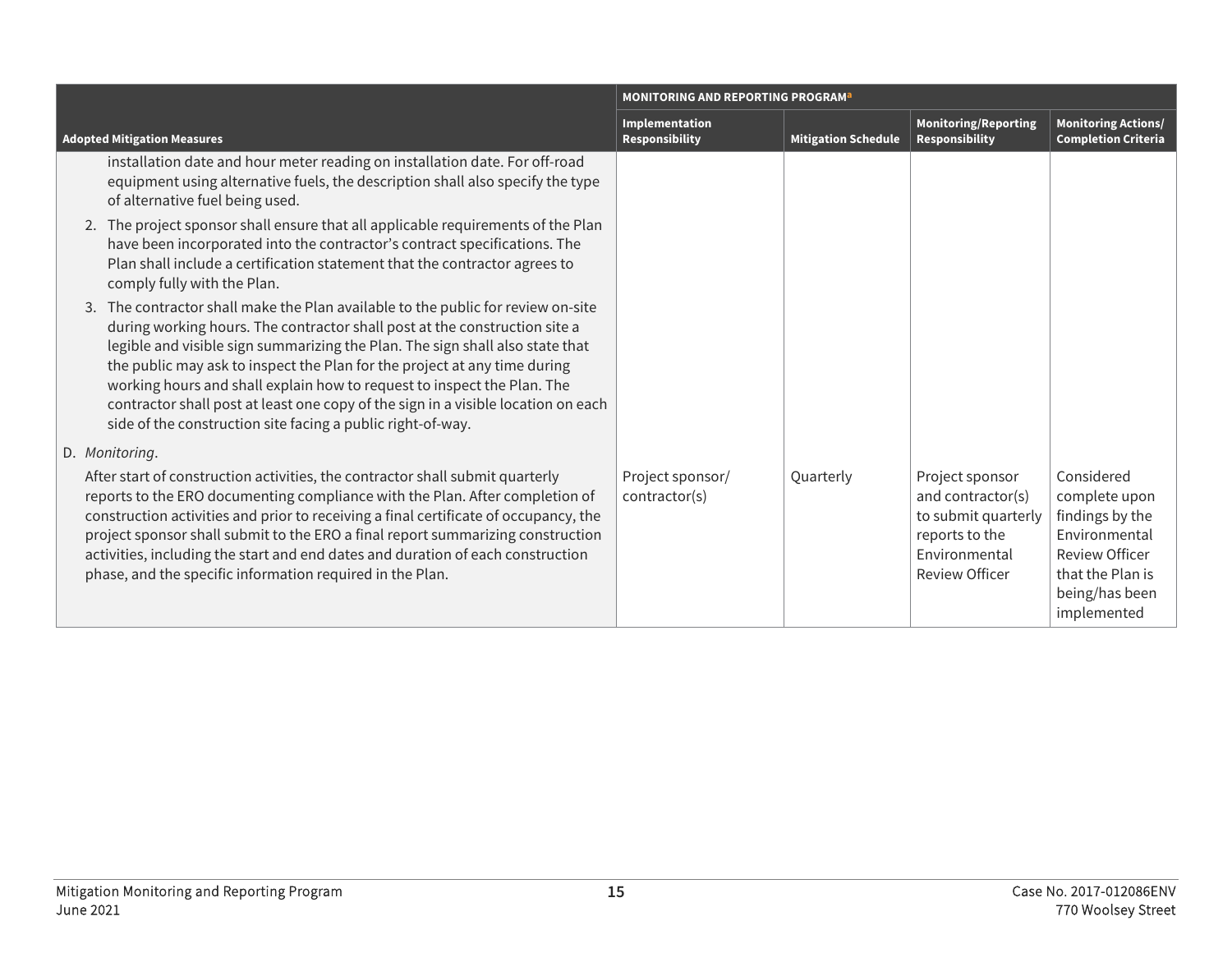|                                                                                                                                                                                                                                                                                                                                                                                                                                                                                                                                                             | <b>MONITORING AND REPORTING PROGRAM<sup>a</sup></b> |                            |                                                                                                                         |                                                                                                                                               |
|-------------------------------------------------------------------------------------------------------------------------------------------------------------------------------------------------------------------------------------------------------------------------------------------------------------------------------------------------------------------------------------------------------------------------------------------------------------------------------------------------------------------------------------------------------------|-----------------------------------------------------|----------------------------|-------------------------------------------------------------------------------------------------------------------------|-----------------------------------------------------------------------------------------------------------------------------------------------|
| <b>Adopted Mitigation Measures</b>                                                                                                                                                                                                                                                                                                                                                                                                                                                                                                                          | Implementation<br>Responsibility                    | <b>Mitigation Schedule</b> | <b>Monitoring/Reporting</b><br><b>Responsibility</b>                                                                    | <b>Monitoring Actions/</b><br><b>Completion Criteria</b>                                                                                      |
| installation date and hour meter reading on installation date. For off-road<br>equipment using alternative fuels, the description shall also specify the type<br>of alternative fuel being used.                                                                                                                                                                                                                                                                                                                                                            |                                                     |                            |                                                                                                                         |                                                                                                                                               |
| 2. The project sponsor shall ensure that all applicable requirements of the Plan<br>have been incorporated into the contractor's contract specifications. The<br>Plan shall include a certification statement that the contractor agrees to<br>comply fully with the Plan.                                                                                                                                                                                                                                                                                  |                                                     |                            |                                                                                                                         |                                                                                                                                               |
| 3. The contractor shall make the Plan available to the public for review on-site<br>during working hours. The contractor shall post at the construction site a<br>legible and visible sign summarizing the Plan. The sign shall also state that<br>the public may ask to inspect the Plan for the project at any time during<br>working hours and shall explain how to request to inspect the Plan. The<br>contractor shall post at least one copy of the sign in a visible location on each<br>side of the construction site facing a public right-of-way. |                                                     |                            |                                                                                                                         |                                                                                                                                               |
| D. Monitoring.<br>After start of construction activities, the contractor shall submit quarterly<br>reports to the ERO documenting compliance with the Plan. After completion of<br>construction activities and prior to receiving a final certificate of occupancy, the<br>project sponsor shall submit to the ERO a final report summarizing construction<br>activities, including the start and end dates and duration of each construction<br>phase, and the specific information required in the Plan.                                                  | Project sponsor/<br>contractor(s)                   | Quarterly                  | Project sponsor<br>and contractor(s)<br>to submit quarterly<br>reports to the<br>Environmental<br><b>Review Officer</b> | Considered<br>complete upon<br>findings by the<br>Environmental<br><b>Review Officer</b><br>that the Plan is<br>being/has been<br>implemented |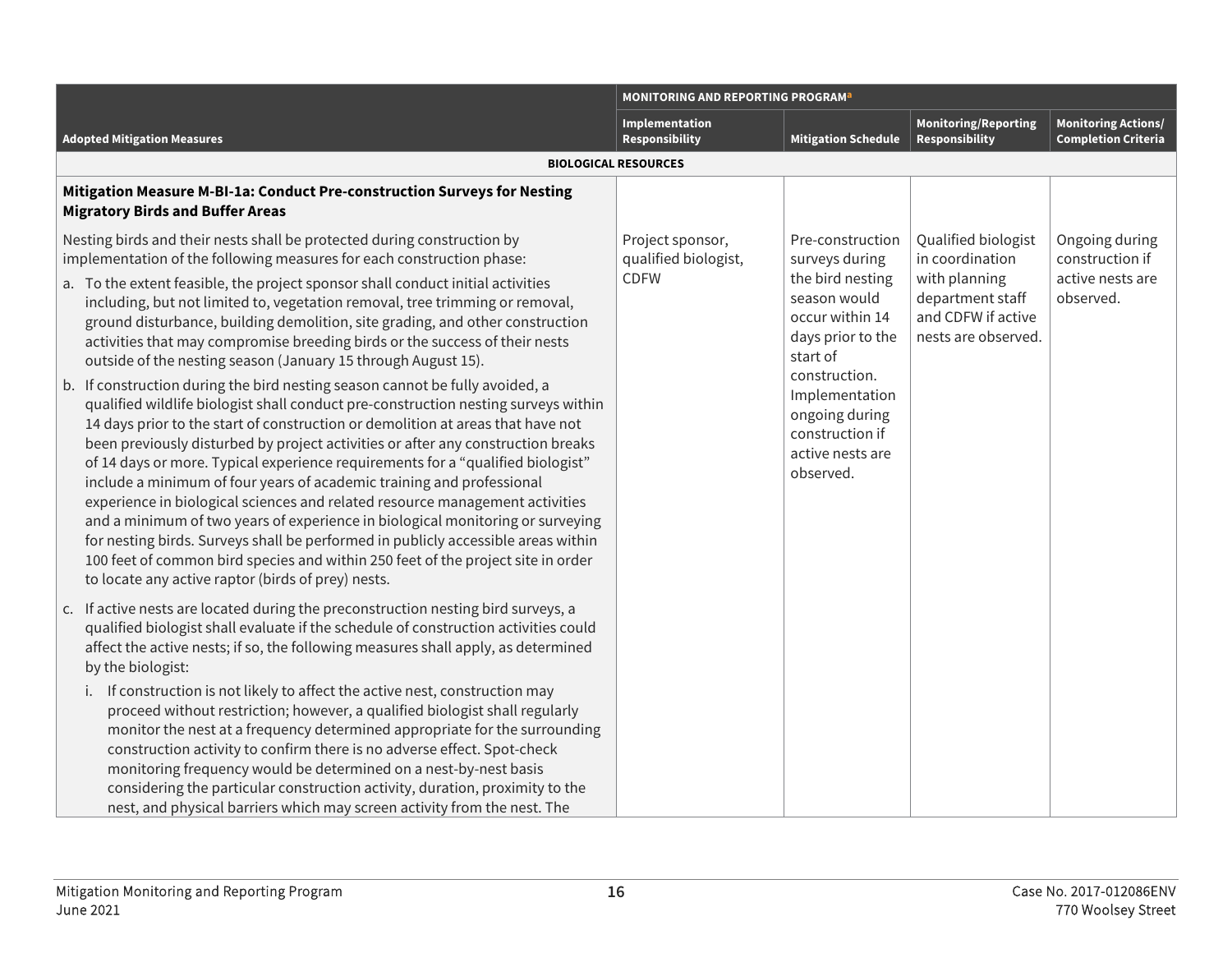|                                                                                                                                                                                                                                                                                                                                                                                                                                                                                                                                                                                                                                                                                                                                                                                                                                                                                                                                                                                                                                                                                                                                                                                                                                                                                                                                                                                                                                                                | <b>MONITORING AND REPORTING PROGRAM<sup>a</sup></b>     |                                                                                                                                                                                                                                     |                                                                                                                          |                                                                    |
|----------------------------------------------------------------------------------------------------------------------------------------------------------------------------------------------------------------------------------------------------------------------------------------------------------------------------------------------------------------------------------------------------------------------------------------------------------------------------------------------------------------------------------------------------------------------------------------------------------------------------------------------------------------------------------------------------------------------------------------------------------------------------------------------------------------------------------------------------------------------------------------------------------------------------------------------------------------------------------------------------------------------------------------------------------------------------------------------------------------------------------------------------------------------------------------------------------------------------------------------------------------------------------------------------------------------------------------------------------------------------------------------------------------------------------------------------------------|---------------------------------------------------------|-------------------------------------------------------------------------------------------------------------------------------------------------------------------------------------------------------------------------------------|--------------------------------------------------------------------------------------------------------------------------|--------------------------------------------------------------------|
| <b>Adopted Mitigation Measures</b>                                                                                                                                                                                                                                                                                                                                                                                                                                                                                                                                                                                                                                                                                                                                                                                                                                                                                                                                                                                                                                                                                                                                                                                                                                                                                                                                                                                                                             | Implementation<br><b>Responsibility</b>                 | <b>Mitigation Schedule</b>                                                                                                                                                                                                          | Monitoring/Reporting<br><b>Responsibility</b>                                                                            | <b>Monitoring Actions/</b><br><b>Completion Criteria</b>           |
|                                                                                                                                                                                                                                                                                                                                                                                                                                                                                                                                                                                                                                                                                                                                                                                                                                                                                                                                                                                                                                                                                                                                                                                                                                                                                                                                                                                                                                                                | <b>BIOLOGICAL RESOURCES</b>                             |                                                                                                                                                                                                                                     |                                                                                                                          |                                                                    |
| Mitigation Measure M-BI-1a: Conduct Pre-construction Surveys for Nesting<br><b>Migratory Birds and Buffer Areas</b>                                                                                                                                                                                                                                                                                                                                                                                                                                                                                                                                                                                                                                                                                                                                                                                                                                                                                                                                                                                                                                                                                                                                                                                                                                                                                                                                            |                                                         |                                                                                                                                                                                                                                     |                                                                                                                          |                                                                    |
| Nesting birds and their nests shall be protected during construction by<br>implementation of the following measures for each construction phase:<br>a. To the extent feasible, the project sponsor shall conduct initial activities<br>including, but not limited to, vegetation removal, tree trimming or removal,<br>ground disturbance, building demolition, site grading, and other construction<br>activities that may compromise breeding birds or the success of their nests<br>outside of the nesting season (January 15 through August 15).<br>b. If construction during the bird nesting season cannot be fully avoided, a<br>qualified wildlife biologist shall conduct pre-construction nesting surveys within<br>14 days prior to the start of construction or demolition at areas that have not<br>been previously disturbed by project activities or after any construction breaks<br>of 14 days or more. Typical experience requirements for a "qualified biologist"<br>include a minimum of four years of academic training and professional<br>experience in biological sciences and related resource management activities<br>and a minimum of two years of experience in biological monitoring or surveying<br>for nesting birds. Surveys shall be performed in publicly accessible areas within<br>100 feet of common bird species and within 250 feet of the project site in order<br>to locate any active raptor (birds of prey) nests. | Project sponsor,<br>qualified biologist,<br><b>CDFW</b> | Pre-construction<br>surveys during<br>the bird nesting<br>season would<br>occur within 14<br>days prior to the<br>start of<br>construction.<br>Implementation<br>ongoing during<br>construction if<br>active nests are<br>observed. | Qualified biologist<br>in coordination<br>with planning<br>department staff<br>and CDFW if active<br>nests are observed. | Ongoing during<br>construction if<br>active nests are<br>observed. |
| c. If active nests are located during the preconstruction nesting bird surveys, a<br>qualified biologist shall evaluate if the schedule of construction activities could<br>affect the active nests; if so, the following measures shall apply, as determined<br>by the biologist:<br>i. If construction is not likely to affect the active nest, construction may<br>proceed without restriction; however, a qualified biologist shall regularly<br>monitor the nest at a frequency determined appropriate for the surrounding<br>construction activity to confirm there is no adverse effect. Spot-check<br>monitoring frequency would be determined on a nest-by-nest basis<br>considering the particular construction activity, duration, proximity to the<br>nest, and physical barriers which may screen activity from the nest. The                                                                                                                                                                                                                                                                                                                                                                                                                                                                                                                                                                                                                     |                                                         |                                                                                                                                                                                                                                     |                                                                                                                          |                                                                    |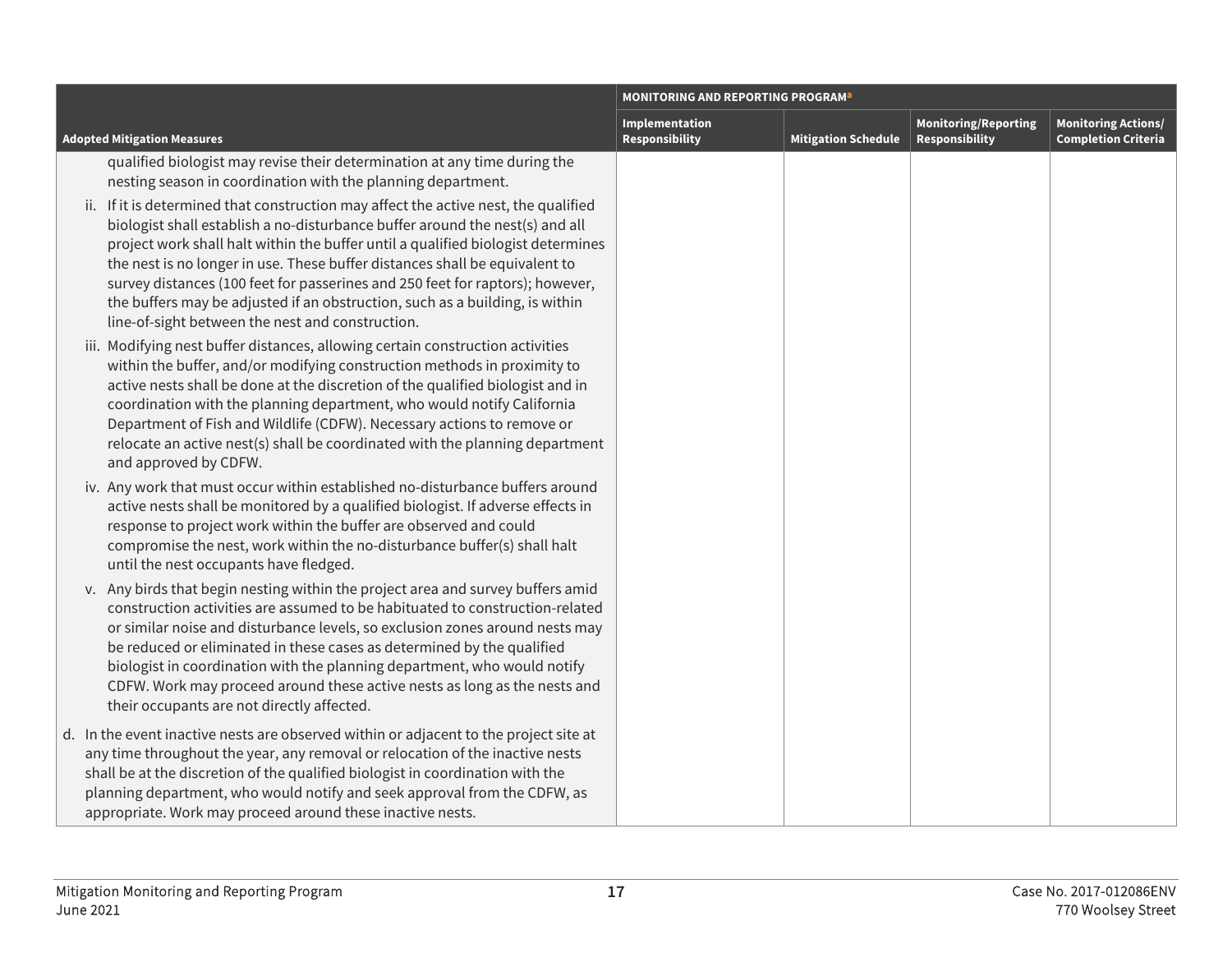|                                                                                                                                                                                                                                                                                                                                                                                                                                                                                                                                                                                                                                                                                                          | <b>MONITORING AND REPORTING PROGRAM<sup>a</sup></b> |                            |                                               |                                                          |
|----------------------------------------------------------------------------------------------------------------------------------------------------------------------------------------------------------------------------------------------------------------------------------------------------------------------------------------------------------------------------------------------------------------------------------------------------------------------------------------------------------------------------------------------------------------------------------------------------------------------------------------------------------------------------------------------------------|-----------------------------------------------------|----------------------------|-----------------------------------------------|----------------------------------------------------------|
| <b>Adopted Mitigation Measures</b>                                                                                                                                                                                                                                                                                                                                                                                                                                                                                                                                                                                                                                                                       | Implementation<br><b>Responsibility</b>             | <b>Mitigation Schedule</b> | <b>Monitoring/Reporting</b><br>Responsibility | <b>Monitoring Actions/</b><br><b>Completion Criteria</b> |
| qualified biologist may revise their determination at any time during the<br>nesting season in coordination with the planning department.<br>ii. If it is determined that construction may affect the active nest, the qualified<br>biologist shall establish a no-disturbance buffer around the nest(s) and all<br>project work shall halt within the buffer until a qualified biologist determines<br>the nest is no longer in use. These buffer distances shall be equivalent to<br>survey distances (100 feet for passerines and 250 feet for raptors); however,<br>the buffers may be adjusted if an obstruction, such as a building, is within<br>line-of-sight between the nest and construction. |                                                     |                            |                                               |                                                          |
| iii. Modifying nest buffer distances, allowing certain construction activities<br>within the buffer, and/or modifying construction methods in proximity to<br>active nests shall be done at the discretion of the qualified biologist and in<br>coordination with the planning department, who would notify California<br>Department of Fish and Wildlife (CDFW). Necessary actions to remove or<br>relocate an active nest(s) shall be coordinated with the planning department<br>and approved by CDFW.                                                                                                                                                                                                |                                                     |                            |                                               |                                                          |
| iv. Any work that must occur within established no-disturbance buffers around<br>active nests shall be monitored by a qualified biologist. If adverse effects in<br>response to project work within the buffer are observed and could<br>compromise the nest, work within the no-disturbance buffer(s) shall halt<br>until the nest occupants have fledged.                                                                                                                                                                                                                                                                                                                                              |                                                     |                            |                                               |                                                          |
| v. Any birds that begin nesting within the project area and survey buffers amid<br>construction activities are assumed to be habituated to construction-related<br>or similar noise and disturbance levels, so exclusion zones around nests may<br>be reduced or eliminated in these cases as determined by the qualified<br>biologist in coordination with the planning department, who would notify<br>CDFW. Work may proceed around these active nests as long as the nests and<br>their occupants are not directly affected.                                                                                                                                                                         |                                                     |                            |                                               |                                                          |
| d. In the event inactive nests are observed within or adjacent to the project site at<br>any time throughout the year, any removal or relocation of the inactive nests<br>shall be at the discretion of the qualified biologist in coordination with the<br>planning department, who would notify and seek approval from the CDFW, as<br>appropriate. Work may proceed around these inactive nests.                                                                                                                                                                                                                                                                                                      |                                                     |                            |                                               |                                                          |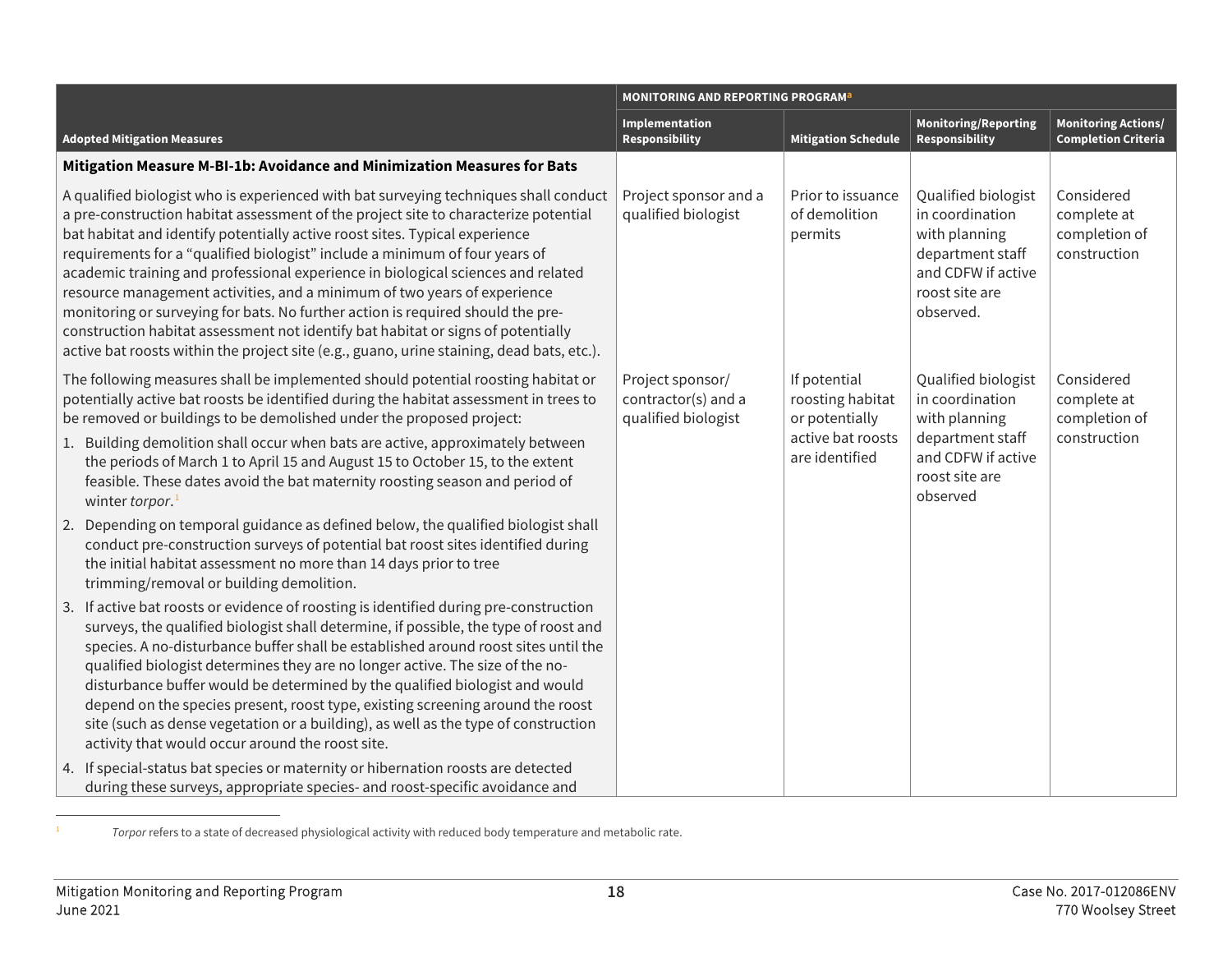<span id="page-17-0"></span>

|                                                                                                                                                                                                                                                                                                                                                                                                                                                                                                                                                                                                                                                                                                                                                                                 | <b>MONITORING AND REPORTING PROGRAM<sup>a</sup></b>            |                                                                                           |                                                                                                                                  |                                                            |
|---------------------------------------------------------------------------------------------------------------------------------------------------------------------------------------------------------------------------------------------------------------------------------------------------------------------------------------------------------------------------------------------------------------------------------------------------------------------------------------------------------------------------------------------------------------------------------------------------------------------------------------------------------------------------------------------------------------------------------------------------------------------------------|----------------------------------------------------------------|-------------------------------------------------------------------------------------------|----------------------------------------------------------------------------------------------------------------------------------|------------------------------------------------------------|
| <b>Adopted Mitigation Measures</b>                                                                                                                                                                                                                                                                                                                                                                                                                                                                                                                                                                                                                                                                                                                                              | Implementation<br><b>Responsibility</b>                        | <b>Mitigation Schedule</b>                                                                | <b>Monitoring/Reporting</b><br>Responsibility                                                                                    | <b>Monitoring Actions/</b><br><b>Completion Criteria</b>   |
| Mitigation Measure M-BI-1b: Avoidance and Minimization Measures for Bats                                                                                                                                                                                                                                                                                                                                                                                                                                                                                                                                                                                                                                                                                                        |                                                                |                                                                                           |                                                                                                                                  |                                                            |
| A qualified biologist who is experienced with bat surveying techniques shall conduct<br>a pre-construction habitat assessment of the project site to characterize potential<br>bat habitat and identify potentially active roost sites. Typical experience<br>requirements for a "qualified biologist" include a minimum of four years of<br>academic training and professional experience in biological sciences and related<br>resource management activities, and a minimum of two years of experience<br>monitoring or surveying for bats. No further action is required should the pre-<br>construction habitat assessment not identify bat habitat or signs of potentially<br>active bat roosts within the project site (e.g., guano, urine staining, dead bats, etc.).   | Project sponsor and a<br>qualified biologist                   | Prior to issuance<br>of demolition<br>permits                                             | Qualified biologist<br>in coordination<br>with planning<br>department staff<br>and CDFW if active<br>roost site are<br>observed. | Considered<br>complete at<br>completion of<br>construction |
| The following measures shall be implemented should potential roosting habitat or<br>potentially active bat roosts be identified during the habitat assessment in trees to<br>be removed or buildings to be demolished under the proposed project:<br>1. Building demolition shall occur when bats are active, approximately between<br>the periods of March 1 to April 15 and August 15 to October 15, to the extent<br>feasible. These dates avoid the bat maternity roosting season and period of<br>winter torpor. <sup>1</sup><br>2. Depending on temporal guidance as defined below, the qualified biologist shall<br>conduct pre-construction surveys of potential bat roost sites identified during<br>the initial habitat assessment no more than 14 days prior to tree | Project sponsor/<br>contractor(s) and a<br>qualified biologist | If potential<br>roosting habitat<br>or potentially<br>active bat roosts<br>are identified | Qualified biologist<br>in coordination<br>with planning<br>department staff<br>and CDFW if active<br>roost site are<br>observed  | Considered<br>complete at<br>completion of<br>construction |
| trimming/removal or building demolition.<br>3. If active bat roosts or evidence of roosting is identified during pre-construction<br>surveys, the qualified biologist shall determine, if possible, the type of roost and<br>species. A no-disturbance buffer shall be established around roost sites until the<br>qualified biologist determines they are no longer active. The size of the no-<br>disturbance buffer would be determined by the qualified biologist and would<br>depend on the species present, roost type, existing screening around the roost<br>site (such as dense vegetation or a building), as well as the type of construction<br>activity that would occur around the roost site.                                                                     |                                                                |                                                                                           |                                                                                                                                  |                                                            |
| 4. If special-status bat species or maternity or hibernation roosts are detected<br>during these surveys, appropriate species- and roost-specific avoidance and                                                                                                                                                                                                                                                                                                                                                                                                                                                                                                                                                                                                                 |                                                                |                                                                                           |                                                                                                                                  |                                                            |

 <sup>1</sup> *Torpor* refers to a state of decreased physiological activity with reduced body temperature and metabolic rate.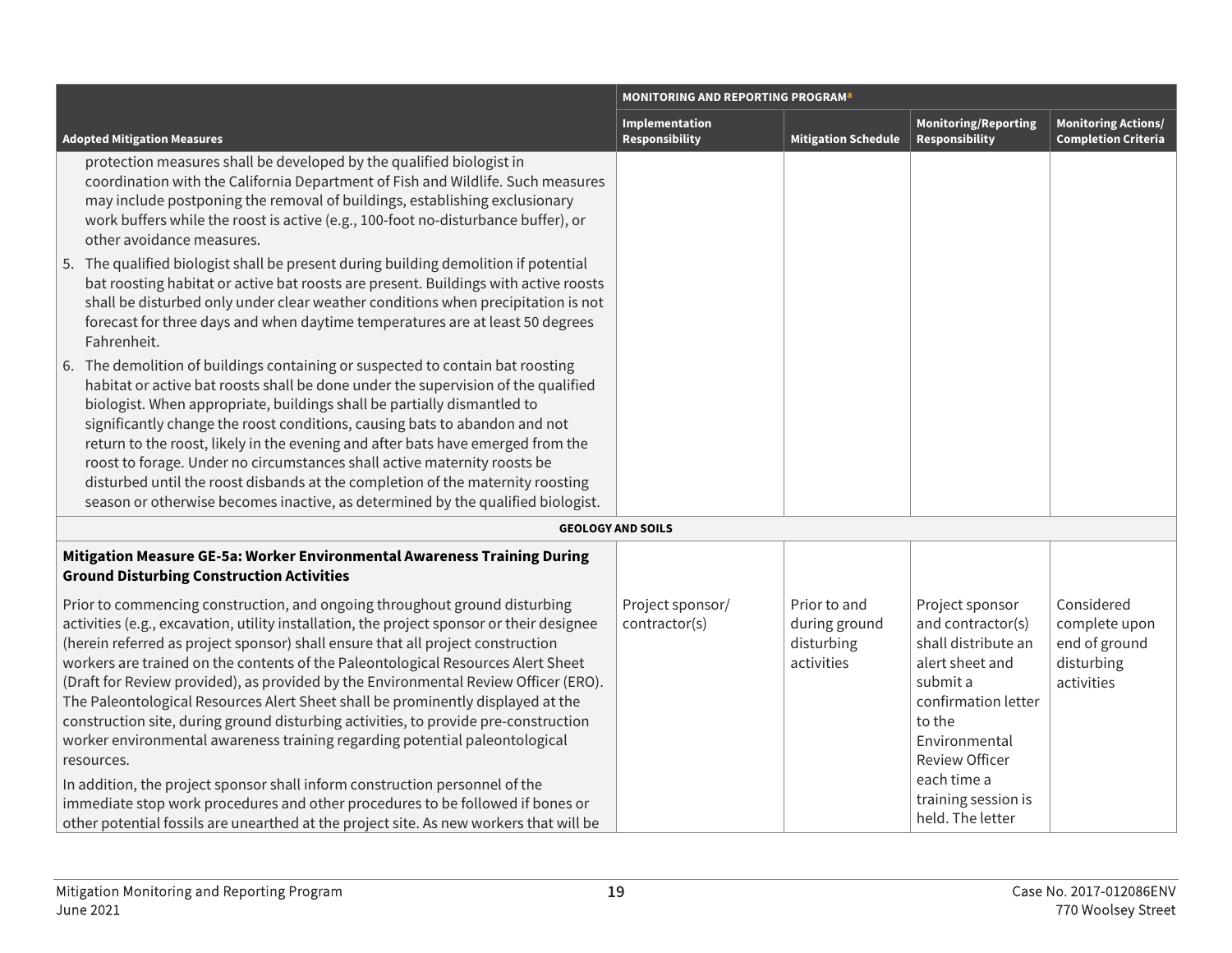|                                                                                                                                                                                                                                                                                                                                                                                                                                                                                                                                                                                                                                                                                                                                                                                                                                                                                                                                                                         | <b>MONITORING AND REPORTING PROGRAM</b> <sup>a</sup> |                                                           |                                                                                                                                                                                                                                 |                                                                          |
|-------------------------------------------------------------------------------------------------------------------------------------------------------------------------------------------------------------------------------------------------------------------------------------------------------------------------------------------------------------------------------------------------------------------------------------------------------------------------------------------------------------------------------------------------------------------------------------------------------------------------------------------------------------------------------------------------------------------------------------------------------------------------------------------------------------------------------------------------------------------------------------------------------------------------------------------------------------------------|------------------------------------------------------|-----------------------------------------------------------|---------------------------------------------------------------------------------------------------------------------------------------------------------------------------------------------------------------------------------|--------------------------------------------------------------------------|
| <b>Adopted Mitigation Measures</b>                                                                                                                                                                                                                                                                                                                                                                                                                                                                                                                                                                                                                                                                                                                                                                                                                                                                                                                                      | Implementation<br>Responsibility                     | <b>Mitigation Schedule</b>                                | <b>Monitoring/Reporting</b><br><b>Responsibility</b>                                                                                                                                                                            | <b>Monitoring Actions/</b><br><b>Completion Criteria</b>                 |
| protection measures shall be developed by the qualified biologist in<br>coordination with the California Department of Fish and Wildlife. Such measures<br>may include postponing the removal of buildings, establishing exclusionary<br>work buffers while the roost is active (e.g., 100-foot no-disturbance buffer), or<br>other avoidance measures.<br>5. The qualified biologist shall be present during building demolition if potential                                                                                                                                                                                                                                                                                                                                                                                                                                                                                                                          |                                                      |                                                           |                                                                                                                                                                                                                                 |                                                                          |
| bat roosting habitat or active bat roosts are present. Buildings with active roosts<br>shall be disturbed only under clear weather conditions when precipitation is not<br>forecast for three days and when daytime temperatures are at least 50 degrees<br>Fahrenheit.                                                                                                                                                                                                                                                                                                                                                                                                                                                                                                                                                                                                                                                                                                 |                                                      |                                                           |                                                                                                                                                                                                                                 |                                                                          |
| 6. The demolition of buildings containing or suspected to contain bat roosting<br>habitat or active bat roosts shall be done under the supervision of the qualified<br>biologist. When appropriate, buildings shall be partially dismantled to<br>significantly change the roost conditions, causing bats to abandon and not<br>return to the roost, likely in the evening and after bats have emerged from the<br>roost to forage. Under no circumstances shall active maternity roosts be<br>disturbed until the roost disbands at the completion of the maternity roosting<br>season or otherwise becomes inactive, as determined by the qualified biologist.                                                                                                                                                                                                                                                                                                        |                                                      |                                                           |                                                                                                                                                                                                                                 |                                                                          |
|                                                                                                                                                                                                                                                                                                                                                                                                                                                                                                                                                                                                                                                                                                                                                                                                                                                                                                                                                                         | <b>GEOLOGY AND SOILS</b>                             |                                                           |                                                                                                                                                                                                                                 |                                                                          |
| Mitigation Measure GE-5a: Worker Environmental Awareness Training During<br><b>Ground Disturbing Construction Activities</b>                                                                                                                                                                                                                                                                                                                                                                                                                                                                                                                                                                                                                                                                                                                                                                                                                                            |                                                      |                                                           |                                                                                                                                                                                                                                 |                                                                          |
| Prior to commencing construction, and ongoing throughout ground disturbing<br>activities (e.g., excavation, utility installation, the project sponsor or their designee<br>(herein referred as project sponsor) shall ensure that all project construction<br>workers are trained on the contents of the Paleontological Resources Alert Sheet<br>(Draft for Review provided), as provided by the Environmental Review Officer (ERO).<br>The Paleontological Resources Alert Sheet shall be prominently displayed at the<br>construction site, during ground disturbing activities, to provide pre-construction<br>worker environmental awareness training regarding potential paleontological<br>resources.<br>In addition, the project sponsor shall inform construction personnel of the<br>immediate stop work procedures and other procedures to be followed if bones or<br>other potential fossils are unearthed at the project site. As new workers that will be | Project sponsor/<br>contractor(s)                    | Prior to and<br>during ground<br>disturbing<br>activities | Project sponsor<br>and contractor(s)<br>shall distribute an<br>alert sheet and<br>submit a<br>confirmation letter<br>to the<br>Environmental<br><b>Review Officer</b><br>each time a<br>training session is<br>held. The letter | Considered<br>complete upon<br>end of ground<br>disturbing<br>activities |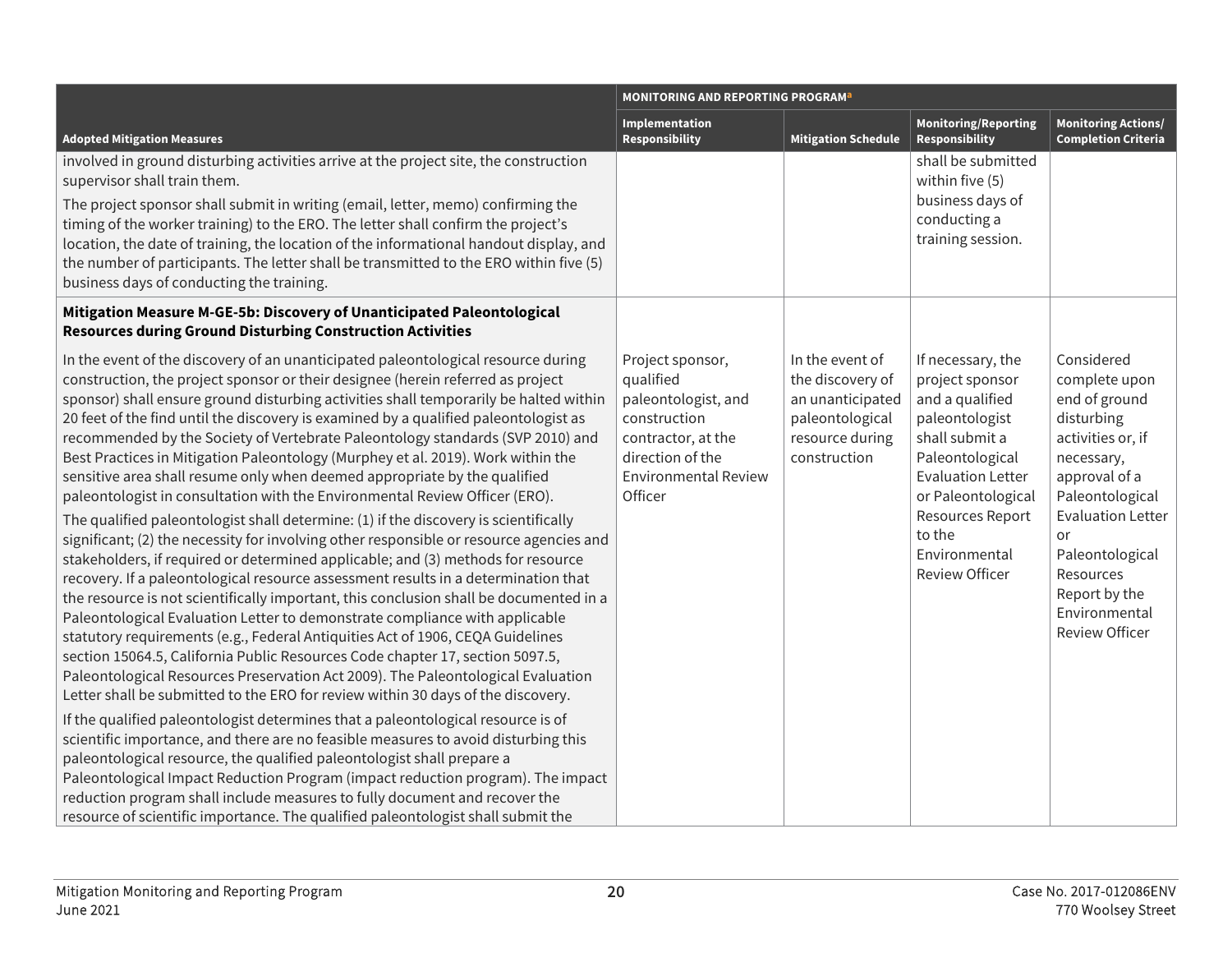|                                                                                                                                                                                                                                                                                                                                                                                                                                                                                                                                                                                                                                                                                                                                                                                                                                                                                                                                                                                                                                                                                                                                                                                                                                                                                                                                                                                                                                                                                                                                                                                                                                                                                                                                                                                                                              | <b>MONITORING AND REPORTING PROGRAM<sup>a</sup></b>                                                                                                      |                                                                                                               |                                                                                                                                                                                                                                                 |                                                                                                                                                                                                                                                                |
|------------------------------------------------------------------------------------------------------------------------------------------------------------------------------------------------------------------------------------------------------------------------------------------------------------------------------------------------------------------------------------------------------------------------------------------------------------------------------------------------------------------------------------------------------------------------------------------------------------------------------------------------------------------------------------------------------------------------------------------------------------------------------------------------------------------------------------------------------------------------------------------------------------------------------------------------------------------------------------------------------------------------------------------------------------------------------------------------------------------------------------------------------------------------------------------------------------------------------------------------------------------------------------------------------------------------------------------------------------------------------------------------------------------------------------------------------------------------------------------------------------------------------------------------------------------------------------------------------------------------------------------------------------------------------------------------------------------------------------------------------------------------------------------------------------------------------|----------------------------------------------------------------------------------------------------------------------------------------------------------|---------------------------------------------------------------------------------------------------------------|-------------------------------------------------------------------------------------------------------------------------------------------------------------------------------------------------------------------------------------------------|----------------------------------------------------------------------------------------------------------------------------------------------------------------------------------------------------------------------------------------------------------------|
| <b>Adopted Mitigation Measures</b>                                                                                                                                                                                                                                                                                                                                                                                                                                                                                                                                                                                                                                                                                                                                                                                                                                                                                                                                                                                                                                                                                                                                                                                                                                                                                                                                                                                                                                                                                                                                                                                                                                                                                                                                                                                           | Implementation<br><b>Responsibility</b>                                                                                                                  | <b>Mitigation Schedule</b>                                                                                    | <b>Monitoring/Reporting</b><br>Responsibility                                                                                                                                                                                                   | <b>Monitoring Actions/</b><br><b>Completion Criteria</b>                                                                                                                                                                                                       |
| involved in ground disturbing activities arrive at the project site, the construction<br>supervisor shall train them.<br>The project sponsor shall submit in writing (email, letter, memo) confirming the<br>timing of the worker training) to the ERO. The letter shall confirm the project's<br>location, the date of training, the location of the informational handout display, and<br>the number of participants. The letter shall be transmitted to the ERO within five (5)<br>business days of conducting the training.                                                                                                                                                                                                                                                                                                                                                                                                                                                                                                                                                                                                                                                                                                                                                                                                                                                                                                                                                                                                                                                                                                                                                                                                                                                                                              |                                                                                                                                                          |                                                                                                               | shall be submitted<br>within five (5)<br>business days of<br>conducting a<br>training session.                                                                                                                                                  |                                                                                                                                                                                                                                                                |
| Mitigation Measure M-GE-5b: Discovery of Unanticipated Paleontological<br><b>Resources during Ground Disturbing Construction Activities</b>                                                                                                                                                                                                                                                                                                                                                                                                                                                                                                                                                                                                                                                                                                                                                                                                                                                                                                                                                                                                                                                                                                                                                                                                                                                                                                                                                                                                                                                                                                                                                                                                                                                                                  |                                                                                                                                                          |                                                                                                               |                                                                                                                                                                                                                                                 |                                                                                                                                                                                                                                                                |
| In the event of the discovery of an unanticipated paleontological resource during<br>construction, the project sponsor or their designee (herein referred as project<br>sponsor) shall ensure ground disturbing activities shall temporarily be halted within<br>20 feet of the find until the discovery is examined by a qualified paleontologist as<br>recommended by the Society of Vertebrate Paleontology standards (SVP 2010) and<br>Best Practices in Mitigation Paleontology (Murphey et al. 2019). Work within the<br>sensitive area shall resume only when deemed appropriate by the qualified<br>paleontologist in consultation with the Environmental Review Officer (ERO).<br>The qualified paleontologist shall determine: (1) if the discovery is scientifically<br>significant; (2) the necessity for involving other responsible or resource agencies and<br>stakeholders, if required or determined applicable; and (3) methods for resource<br>recovery. If a paleontological resource assessment results in a determination that<br>the resource is not scientifically important, this conclusion shall be documented in a<br>Paleontological Evaluation Letter to demonstrate compliance with applicable<br>statutory requirements (e.g., Federal Antiquities Act of 1906, CEQA Guidelines<br>section 15064.5, California Public Resources Code chapter 17, section 5097.5,<br>Paleontological Resources Preservation Act 2009). The Paleontological Evaluation<br>Letter shall be submitted to the ERO for review within 30 days of the discovery.<br>If the qualified paleontologist determines that a paleontological resource is of<br>scientific importance, and there are no feasible measures to avoid disturbing this<br>paleontological resource, the qualified paleontologist shall prepare a | Project sponsor,<br>qualified<br>paleontologist, and<br>construction<br>contractor, at the<br>direction of the<br><b>Environmental Review</b><br>Officer | In the event of<br>the discovery of<br>an unanticipated<br>paleontological<br>resource during<br>construction | If necessary, the<br>project sponsor<br>and a qualified<br>paleontologist<br>shall submit a<br>Paleontological<br><b>Evaluation Letter</b><br>or Paleontological<br><b>Resources Report</b><br>to the<br>Environmental<br><b>Review Officer</b> | Considered<br>complete upon<br>end of ground<br>disturbing<br>activities or, if<br>necessary,<br>approval of a<br>Paleontological<br><b>Evaluation Letter</b><br>or<br>Paleontological<br>Resources<br>Report by the<br>Environmental<br><b>Review Officer</b> |
| Paleontological Impact Reduction Program (impact reduction program). The impact<br>reduction program shall include measures to fully document and recover the<br>resource of scientific importance. The qualified paleontologist shall submit the                                                                                                                                                                                                                                                                                                                                                                                                                                                                                                                                                                                                                                                                                                                                                                                                                                                                                                                                                                                                                                                                                                                                                                                                                                                                                                                                                                                                                                                                                                                                                                            |                                                                                                                                                          |                                                                                                               |                                                                                                                                                                                                                                                 |                                                                                                                                                                                                                                                                |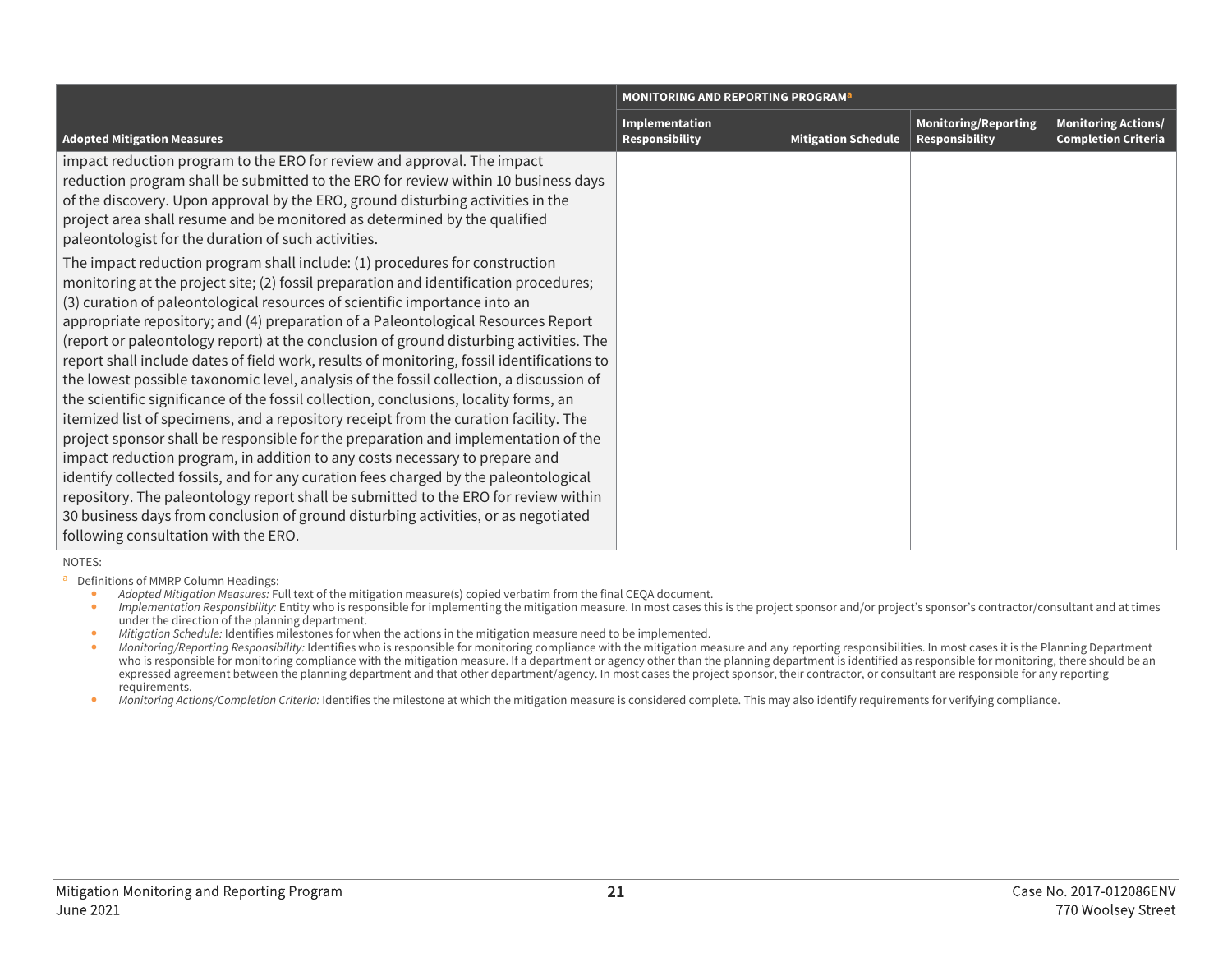|                                                                                                                                                                                                                                                                                                                                                                                                                                                                                                                                                                                                                                                                                                                                                                                                                                                                                                                                                                                                                                                                                                                                                                                                                                                                                               | <b>MONITORING AND REPORTING PROGRAM</b> <sup>a</sup> |                            |                                                      |                                                          |
|-----------------------------------------------------------------------------------------------------------------------------------------------------------------------------------------------------------------------------------------------------------------------------------------------------------------------------------------------------------------------------------------------------------------------------------------------------------------------------------------------------------------------------------------------------------------------------------------------------------------------------------------------------------------------------------------------------------------------------------------------------------------------------------------------------------------------------------------------------------------------------------------------------------------------------------------------------------------------------------------------------------------------------------------------------------------------------------------------------------------------------------------------------------------------------------------------------------------------------------------------------------------------------------------------|------------------------------------------------------|----------------------------|------------------------------------------------------|----------------------------------------------------------|
| <b>Adopted Mitigation Measures</b>                                                                                                                                                                                                                                                                                                                                                                                                                                                                                                                                                                                                                                                                                                                                                                                                                                                                                                                                                                                                                                                                                                                                                                                                                                                            | Implementation<br><b>Responsibility</b>              | <b>Mitigation Schedule</b> | <b>Monitoring/Reporting</b><br><b>Responsibility</b> | <b>Monitoring Actions/</b><br><b>Completion Criteria</b> |
| impact reduction program to the ERO for review and approval. The impact<br>reduction program shall be submitted to the ERO for review within 10 business days<br>of the discovery. Upon approval by the ERO, ground disturbing activities in the<br>project area shall resume and be monitored as determined by the qualified<br>paleontologist for the duration of such activities.                                                                                                                                                                                                                                                                                                                                                                                                                                                                                                                                                                                                                                                                                                                                                                                                                                                                                                          |                                                      |                            |                                                      |                                                          |
| The impact reduction program shall include: (1) procedures for construction<br>monitoring at the project site; (2) fossil preparation and identification procedures;<br>(3) curation of paleontological resources of scientific importance into an<br>appropriate repository; and (4) preparation of a Paleontological Resources Report<br>(report or paleontology report) at the conclusion of ground disturbing activities. The<br>report shall include dates of field work, results of monitoring, fossil identifications to<br>the lowest possible taxonomic level, analysis of the fossil collection, a discussion of<br>the scientific significance of the fossil collection, conclusions, locality forms, an<br>itemized list of specimens, and a repository receipt from the curation facility. The<br>project sponsor shall be responsible for the preparation and implementation of the<br>impact reduction program, in addition to any costs necessary to prepare and<br>identify collected fossils, and for any curation fees charged by the paleontological<br>repository. The paleontology report shall be submitted to the ERO for review within<br>30 business days from conclusion of ground disturbing activities, or as negotiated<br>following consultation with the ERO. |                                                      |                            |                                                      |                                                          |

#### NOTES:

**a** Definitions of MMRP Column Headings:<br>Adopted Mitiantion Measures: FL

- *Adopted Mitigation Measures:* Full text of the mitigation measure(s) copied verbatim from the final CEQA document.
- *Implementation Responsibility:* Entity who is responsible for implementing the mitigation measure. In most cases this is the project sponsor and/or project's sponsor's contractor/consultant and at times under the direction of the planning department.
- *Mitigation Schedule:* Identifies milestones for when the actions in the mitigation measure need to be implemented.
- *Monitoring/Reporting Responsibility:* Identifies who is responsible for monitoring compliance with the mitigation measure and any reporting responsibilities. In most cases it is the Planning Department who is responsible for monitoring compliance with the mitigation measure. If a department or agency other than the planning department is identified as responsible for monitoring, there should be an expressed agreement between the planning department and that other department/agency. In most cases the project sponsor, their contractor, or consultant are responsible for any reporting requirements.
- *Monitoring Actions/Completion Criteria:* Identifies the milestone at which the mitigation measure is considered complete. This may also identify requirements for verifying compliance.